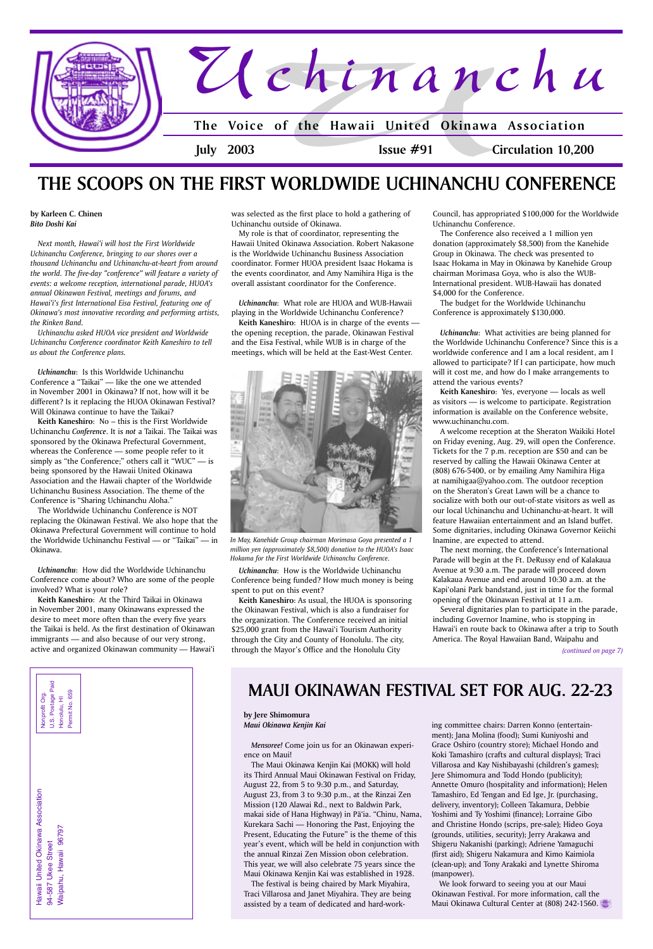Hawaii United Okinawa Association Hawaii United Okinawa Association Waipahu, Hawaii 96797 Waipahu, Hawaii 96797 94-587 Ukee Street 94-587 Ukee Street





## **by Karleen C. Chinen** *Bito Doshi Kai*

*Next month, Hawai'i will host the First Worldwide Uchinanchu Conference, bringing to our shores over a thousand Uchinanchu and Uchinanchu-at-heart from around the world. The five-day "conference" will feature a variety of events: a welcome reception, international parade, HUOA's annual Okinawan Festival, meetings and forums, and Hawai'i's first International Eisa Festival, featuring one of Okinawa's most innovative recording and performing artists, the Rinken Band.*

*Uchinanchu asked HUOA vice president and Worldwide Uchinanchu Conference coordinator Keith Kaneshiro to tell us about the Conference plans.*

*Uchinanchu*: Is this Worldwide Uchinanchu Conference a "Taikai" — like the one we attended in November 2001 in Okinawa? If not, how will it be different? Is it replacing the HUOA Okinawan Festival? Will Okinawa continue to have the Taikai?

**Keith Kaneshiro**: No – this is the First Worldwide Uchinanchu *Conference*. It is *not* a Taikai. The Taikai was sponsored by the Okinawa Prefectural Government, whereas the Conference — some people refer to it simply as "the Conference;" others call it "WUC"  $-$  is being sponsored by the Hawaii United Okinawa Association and the Hawaii chapter of the Worldwide Uchinanchu Business Association. The theme of the Conference is "Sharing Uchinanchu Aloha."

The Worldwide Uchinanchu Conference is NOT replacing the Okinawan Festival. We also hope that the Okinawa Prefectural Government will continue to hold the Worldwide Uchinanchu Festival — or "Taikai" — in Okinawa.

The Conference also received a 1 million yen donation (approximately \$8,500) from the Kanehide Group in Okinawa. The check was presented to Isaac Hokama in May in Okinawa by Kanehide Group chairman Morimasa Goya, who is also the WUB-International president. WUB-Hawaii has donated \$4,000 for the Conference.

*Uchinanchu*: How did the Worldwide Uchinanchu Conference come about? Who are some of the people involved? What is your role?

**Keith Kaneshiro**: At the Third Taikai in Okinawa in November 2001, many Okinawans expressed the desire to meet more often than the every five years the Taikai is held. As the first destination of Okinawan immigrants — and also because of our very strong, active and organized Okinawan community — Hawai'i was selected as the first place to hold a gathering of Uchinanchu outside of Okinawa.

My role is that of coordinator, representing the Hawaii United Okinawa Association. Robert Nakasone is the Worldwide Uchinanchu Business Association coordinator. Former HUOA president Isaac Hokama is the events coordinator, and Amy Namihira Higa is the overall assistant coordinator for the Conference.

*Uchinanchu*: What role are HUOA and WUB-Hawaii playing in the Worldwide Uchinanchu Conference?

**Keith Kaneshiro**: HUOA is in charge of the events the opening reception, the parade, Okinawan Festival and the Eisa Festival, while WUB is in charge of the meetings, which will be held at the East-West Center.

*Uchinanchu*: How is the Worldwide Uchinanchu Conference being funded? How much money is being spent to put on this event?

**Keith Kaneshiro**: As usual, the HUOA is sponsoring the Okinawan Festival, which is also a fundraiser for the organization. The Conference received an initial \$25,000 grant from the Hawai'i Tourism Authority through the City and County of Honolulu. The city, through the Mayor's Office and the Honolulu City

## **THE SCOOPS ON THE FIRST WORLDWIDE UCHINANCHU CONFERENCE**

Council, has appropriated \$100,000 for the Worldwide Uchinanchu Conference.

The budget for the Worldwide Uchinanchu Conference is approximately \$130,000.

*Uchinanchu*: What activities are being planned for the Worldwide Uchinanchu Conference? Since this is a worldwide conference and I am a local resident, am I allowed to participate? If I can participate, how much will it cost me, and how do I make arrangements to attend the various events?

**Keith Kaneshiro**: Yes, everyone — locals as well as visitors — is welcome to participate. Registration information is available on the Conference website, www.uchinanchu.com.

A welcome reception at the Sheraton Waikiki Hotel on Friday evening, Aug. 29, will open the Conference. Tickets for the 7 p.m. reception are \$50 and can be reserved by calling the Hawaii Okinawa Center at (808) 676-5400, or by emailing Amy Namihira Higa at namihigaa@yahoo.com. The outdoor reception on the Sheraton's Great Lawn will be a chance to socialize with both our out-of-state visitors as well as our local Uchinanchu and Uchinanchu-at-heart. It will feature Hawaiian entertainment and an Island buffet. Some dignitaries, including Okinawa Governor Keiichi Inamine, are expected to attend.

The next morning, the Conference's International Parade will begin at the Ft. DeRussy end of Kalakaua Avenue at 9:30 a.m. The parade will proceed down Kalakaua Avenue and end around 10:30 a.m. at the Kapi'olani Park bandstand, just in time for the formal opening of the Okinawan Festival at 11 a.m.

Several dignitaries plan to participate in the parade, including Governor Inamine, who is stopping in Hawai'i en route back to Okinawa after a trip to South America. The Royal Hawaiian Band, Waipahu and



*In May, Kanehide Group chairman Morimasa Goya presented a 1 million yen (approximately \$8,500) donation to the HUOA's Isaac Hokama for the First Worldwide Uchinanchu Conference.*

**by Jere Shimomura** *Maui Okinawa Kenjin Kai*

*Mensoree!* Come join us for an Okinawan experience on Maui!

The Maui Okinawa Kenjin Kai (MOKK) will hold its Third Annual Maui Okinawan Festival on Friday, August 22, from 5 to 9:30 p.m., and Saturday, August 23, from 3 to 9:30 p.m., at the Rinzai Zen Mission (120 Alawai Rd., next to Baldwin Park, makai side of Hana Highway) in Pā'ia. "Chinu, Nama, Kurekara Sachi — Honoring the Past, Enjoying the Present, Educating the Future" is the theme of this year's event, which will be held in conjunction with the annual Rinzai Zen Mission obon celebration. This year, we will also celebrate 75 years since the Maui Okinawa Kenjin Kai was established in 1928. The festival is being chaired by Mark Miyahira, Traci Villarosa and Janet Miyahira. They are being assisted by a team of dedicated and hard-working committee chairs: Darren Konno (entertainment); Jana Molina (food); Sumi Kuniyoshi and

Grace Oshiro (country store); Michael Hondo and Koki Tamashiro (crafts and cultural displays); Traci Villarosa and Kay Nishibayashi (children's games); Jere Shimomura and Todd Hondo (publicity); Annette Omuro (hospitality and information); Helen Tamashiro, Ed Tengan and Ed Ige, Jr. (purchasing, delivery, inventory); Colleen Takamura, Debbie Yoshimi and Ty Yoshimi (finance); Lorraine Gibo and Christine Hondo (scrips, pre-sale); Hideo Goya (grounds, utilities, security); Jerry Arakawa and Shigeru Nakanishi (parking); Adriene Yamaguchi (first aid); Shigeru Nakamura and Kimo Kaimiola (clean-up); and Tony Arakaki and Lynette Shiroma (manpower).

We look forward to seeing you at our Maui Okinawan Festival. For more information, call the Maui Okinawa Cultural Center at (808) 242-1560.

## **MAUI OKINAWAN FESTIVAL SET FOR AUG. 22-23**

*(continued on page 7)*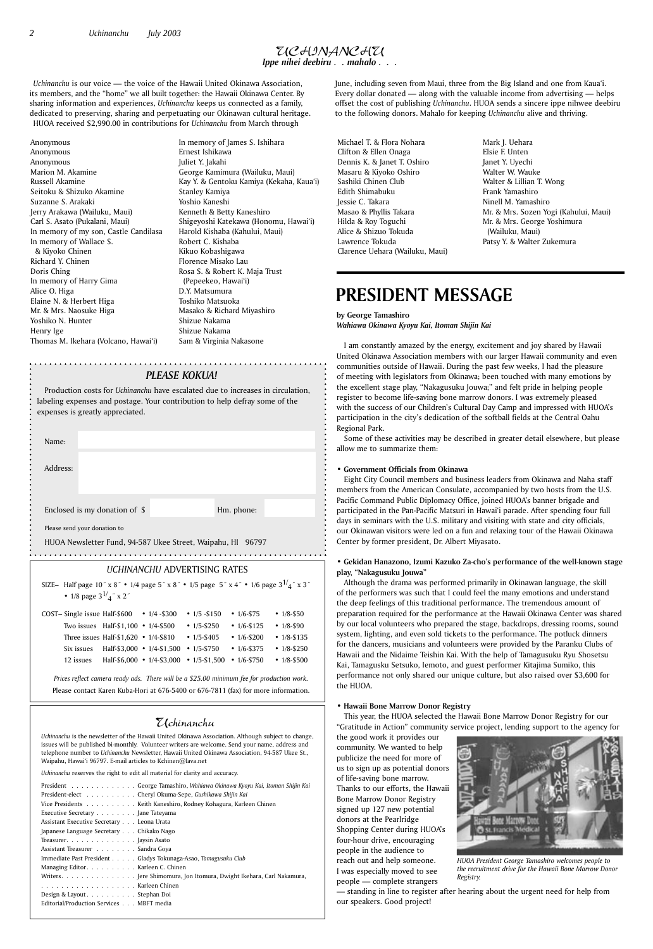## Uchinanchu

*Uchinanchu* is the newsletter of the Hawaii United Okinawa Association. Although subject to change,

issues will be published bi-monthly. Volunteer writers are welcome. Send your name, address and telephone number to *Uchinanchu* Newsletter, Hawaii United Okinawa Association, 94-587 Ukee St., Waipahu, Hawai'i 96797. E-mail articles to Kchinen@lava.net

*Uchinanchu* reserves the right to edit all material for clarity and accuracy.

*PLEASE KOKUA!*

Production costs for *Uchinanchu* have escalated due to increases in circulation, labeling expenses and postage. Your contribution to help defray some of the expenses is greatly appreciated.

| Name:                         |            |
|-------------------------------|------------|
| Address:                      |            |
|                               |            |
| Enclosed is my donation of \$ | Hm. phone: |
| Please send your donation to  |            |

HUOA Newsletter Fund, 94-587 Ukee Street, Waipahu, HI 96797

Michael T. & Flora Nohara Clifton & Ellen Onaga Dennis K. & Janet T. Oshiro Masaru & Kiyoko Oshiro Sashiki Chinen Club Edith Shimabuku Jessie C. Takara Masao & Phyllis Takara Hilda & Roy Toguchi Alice & Shizuo Tokuda Lawrence Tokuda Clarence Uehara (Wailuku, Maui)

In memory of James S. Ishihara Ernest Ishikawa Juliet Y. Jakahi George Kamimura (Wailuku, Maui) Kay Y. & Gentoku Kamiya (Kekaha, Kaua'i) Stanley Kamiya Yoshio Kaneshi Kenneth & Betty Kaneshiro Shigeyoshi Katekawa (Honomu, Hawai'i) Harold Kishaba (Kahului, Maui) Robert C. Kishaba Kikuo Kobashigawa Florence Misako Lau Rosa S. & Robert K. Maja Trust (Pepeekeo, Hawai'i) D.Y. Matsumura Toshiko Matsuoka Masako & Richard Miyashiro Shizue Nakama Shizue Nakama

Sam & Virginia Nakasone

Mark J. Uehara Elsie F. Unten Janet Y. Uyechi Walter W. Wauke Walter & Lillian T. Wong Frank Yamashiro Ninell M. Yamashiro Mr. & Mrs. Sozen Yogi (Kahului, Maui) Mr. & Mrs. George Yoshimura (Wailuku, Maui) Patsy Y. & Walter Zukemura

## *UCHINANCHU* ADVERTISING RATES

| • 1/8 page $3^{1/2}$ x 2" | SIZE- Half page 10" x 8" • 1/4 page 5" x 8" • 1/5 page 5" x 4" • 1/6 page $3^{1/4}$ " x 3" |                   |                   |                   |
|---------------------------|--------------------------------------------------------------------------------------------|-------------------|-------------------|-------------------|
|                           | COST- Single issue Half-\$600 $\cdot$ 1/4 -\$300                                           | • $1/5 - $150$    | $\cdot$ 1/6-\$75  | • $1/8 - 550$     |
|                           | Two issues Half-\$1,100 • 1/4-\$500                                                        | $\cdot$ 1/5-\$250 | • $1/6 - $125$    | $• 1/8 - $90$     |
|                           | Three issues Half- $$1,620$ • $1/4-$810$                                                   | • $1/5 - $405$    | $\cdot$ 1/6-\$200 | $• 1/8 - $135$    |
| Six issues                | Half-\$3,000 • $1/4$ -\$1,500                                                              | $\cdot$ 1/5-\$750 | $\cdot$ 1/6-\$375 | $\cdot$ 1/8-\$250 |
| 12 issues                 | Half-\$6,000 • $1/4$ -\$3,000 • $1/5$ -\$1,500                                             |                   | $\cdot$ 1/6-\$750 | $\cdot$ 1/8-\$500 |

*Prices reflect camera ready ads. There will be a \$25.00 minimum fee for production work.* Please contact Karen Kuba-Hori at 676-5400 or 676-7811 (fax) for more information.

## UCHINANCHU *Ippe nihei deebiru . . mahalo . . .*

Anonymous Anonymous Anonymous Marion M. Akamine Russell Akamine Seitoku & Shizuko Akamine Suzanne S. Arakaki Jerry Arakawa (Wailuku, Maui) Carl S. Asato (Pukalani, Maui) In memory of my son, Castle Candilasa In memory of Wallace S. & Kiyoko Chinen Richard Y. Chinen Doris Ching In memory of Harry Gima Alice O. Higa Elaine N. & Herbert Higa Mr. & Mrs. Naosuke Higa Yoshiko N. Hunter Henry Ige Thomas M. Ikehara (Volcano, Hawai'i)

**by George Tamashiro** *Wahiawa Okinawa Kyoyu Kai, Itoman Shijin Kai*

I am constantly amazed by the energy, excitement and joy shared by Hawaii United Okinawa Association members with our larger Hawaii community and even communities outside of Hawaii. During the past few weeks, I had the pleasure of meeting with legislators from Okinawa; been touched with many emotions by the excellent stage play, "Nakagusuku Jouwa;" and felt pride in helping people register to become life-saving bone marrow donors. I was extremely pleased with the success of our Children's Cultural Day Camp and impressed with HUOA's participation in the city's dedication of the softball fields at the Central Oahu Regional Park.

Some of these activities may be described in greater detail elsewhere, but please allow me to summarize them:

## **• Government Officials from Okinawa**

Eight City Council members and business leaders from Okinawa and Naha staff members from the American Consulate, accompanied by two hosts from the U.S. Pacific Command Public Diplomacy Office, joined HUOA's banner brigade and participated in the Pan-Pacific Matsuri in Hawai'i parade. After spending four full days in seminars with the U.S. military and visiting with state and city officials, our Okinawan visitors were led on a fun and relaxing tour of the Hawaii Okinawa Center by former president, Dr. Albert Miyasato.

## **• Gekidan Hanazono, Izumi Kazuko Za-cho's performance of the well-known stage play, "Nakagusuku Jouwa"**

Although the drama was performed primarily in Okinawan language, the skill of the performers was such that I could feel the many emotions and understand the deep feelings of this traditional performance. The tremendous amount of preparation required for the performance at the Hawaii Okinawa Center was shared by our local volunteers who prepared the stage, backdrops, dressing rooms, sound system, lighting, and even sold tickets to the performance. The potluck dinners for the dancers, musicians and volunteers were provided by the Paranku Clubs of Hawaii and the Nidaime Teishin Kai. With the help of Tamagusuku Ryu Shosetsu Kai, Tamagusku Setsuko, Iemoto, and guest performer Kitajima Sumiko, this performance not only shared our unique culture, but also raised over \$3,600 for the HUOA.

### **• Hawaii Bone Marrow Donor Registry**

This year, the HUOA selected the Hawaii Bone Marrow Donor Registry for our "Gratitude in Action" community service project, lending support to the agency for the good work it provides our

community. We wanted to help publicize the need for more of us to sign up as potential donors of life-saving bone marrow. Thanks to our efforts, the Hawaii Bone Marrow Donor Registry signed up 127 new potential donors at the Pearlridge Shopping Center during HUOA's four-hour drive, encouraging people in the audience to reach out and help someone. I was especially moved to see people — complete strangers

— standing in line to register after hearing about the urgent need for help from our speakers. Good project!

## **PRESIDENT MESSAGE**



*HUOA President George Tamashiro welcomes people to the recruitment drive for the Hawaii Bone Marrow Donor Registry.*

*Uchinanchu* is our voice — the voice of the Hawaii United Okinawa Association, its members, and the "home" we all built together: the Hawaii Okinawa Center. By sharing information and experiences, *Uchinanchu* keeps us connected as a family, dedicated to preserving, sharing and perpetuating our Okinawan cultural heritage. HUOA received \$2,990.00 in contributions for *Uchinanchu* from March through

June, including seven from Maui, three from the Big Island and one from Kaua'i. Every dollar donated — along with the valuable income from advertising — helps offset the cost of publishing *Uchinanchu*. HUOA sends a sincere ippe nihwee deebiru to the following donors. Mahalo for keeping *Uchinanchu* alive and thriving.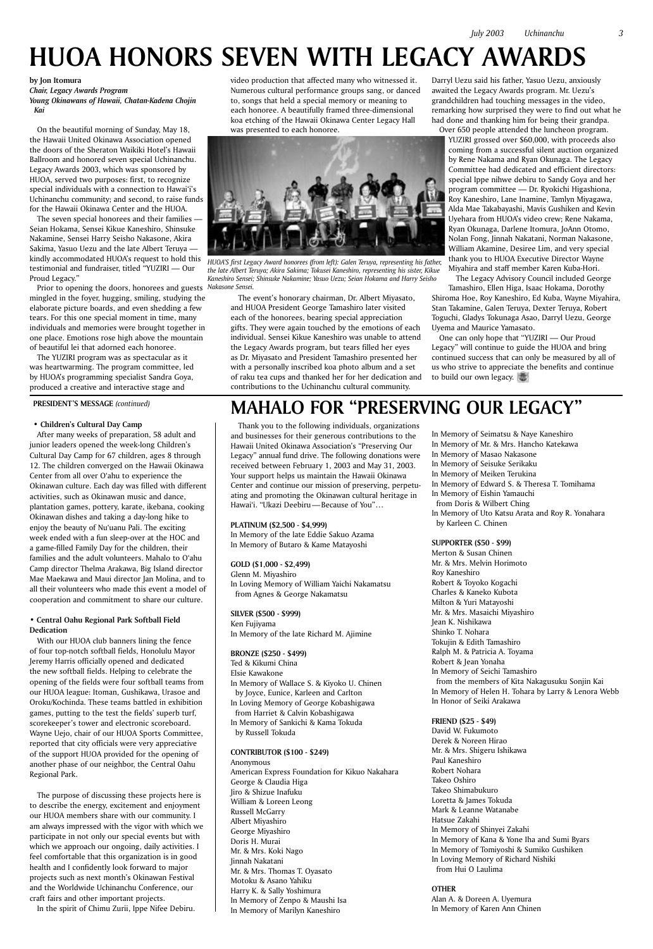## **MAHALO FOR "PRESERVING OUR LEGACY"**

Thank you to the following individuals, organizations and businesses for their generous contributions to the Hawaii United Okinawa Association's "Preserving Our Legacy" annual fund drive. The following donations were received between February 1, 2003 and May 31, 2003. Your support helps us maintain the Hawaii Okinawa Center and continue our mission of preserving, perpetuating and promoting the Okinawan cultural heritage in Hawai'i. "Ukazi Deebiru — Because of You"…

### **PLATINUM (\$2,500 - \$4,999)**

In Memory of the late Eddie Sakuo Azama In Memory of Butaro & Kame Matayoshi

## **GOLD (\$1,000 - \$2,499)**

Glenn M. Miyashiro In Loving Memory of William Yaichi Nakamatsu from Agnes & George Nakamatsu

**SILVER (\$500 - \$999)** Ken Fujiyama In Memory of the late Richard M. Ajimine

## **BRONZE (\$250 - \$499)**

Ted & Kikumi China Elsie Kawakone In Memory of Wallace S. & Kiyoko U. Chinen by Joyce, Eunice, Karleen and Carlton In Loving Memory of George Kobashigawa from Harriet & Calvin Kobashigawa In Memory of Sankichi & Kama Tokuda by Russell Tokuda

## **CONTRIBUTOR (\$100 - \$249)**

Anonymous

American Express Foundation for Kikuo Nakahara George & Claudia Higa Jiro & Shizue Inafuku William & Loreen Leong Russell McGarry Albert Miyashiro George Miyashiro Doris H. Murai Mr. & Mrs. Koki Nago Jinnah Nakatani Mr. & Mrs. Thomas T. Oyasato Motoku & Asano Yahiku Harry K. & Sally Yoshimura In Memory of Zenpo & Maushi Isa In Memory of Marilyn Kaneshiro

In Memory of Seimatsu & Naye Kaneshiro In Memory of Mr. & Mrs. Hancho Katekawa In Memory of Masao Nakasone In Memory of Seisuke Serikaku In Memory of Meiken Terukina In Memory of Edward S. & Theresa T. Tomihama In Memory of Eishin Yamauchi from Doris & Wilbert Ching In Memory of Uto Katsu Arata and Roy R. Yonahara by Karleen C. Chinen

## **SUPPORTER (\$50 - \$99)**

Merton & Susan Chinen Mr. & Mrs. Melvin Horimoto Roy Kaneshiro Robert & Toyoko Kogachi Charles & Kaneko Kubota Milton & Yuri Matayoshi Mr. & Mrs. Masaichi Miyashiro Jean K. Nishikawa Shinko T. Nohara Tokujin & Edith Tamashiro Ralph M. & Patricia A. Toyama Robert & Jean Yonaha In Memory of Seichi Tamashiro from the members of Kita Nakagusuku Sonjin Kai In Memory of Helen H. Tohara by Larry & Lenora Webb In Honor of Seiki Arakawa

## **FRIEND (\$25 - \$49)**

David W. Fukumoto Derek & Noreen Hirao Mr. & Mrs. Shigeru Ishikawa Paul Kaneshiro Robert Nohara Takeo Oshiro Takeo Shimabukuro Loretta & James Tokuda Mark & Leanne Watanabe Hatsue Zakahi In Memory of Shinyei Zakahi In Memory of Kana & Yone Iha and Sumi Byars In Memory of Tomiyoshi & Sumiko Gushiken In Loving Memory of Richard Nishiki from Hui O Laulima

## **OTHER**

Alan A. & Doreen A. Uyemura In Memory of Karen Ann Chinen

#### **by Jon Itomura**

*Chair, Legacy Awards Program Young Okinawans of Hawaii, Chatan-Kadena Chojin Kai*

On the beautiful morning of Sunday, May 18, the Hawaii United Okinawa Association opened the doors of the Sheraton Waikiki Hotel's Hawaii Ballroom and honored seven special Uchinanchu. Legacy Awards 2003, which was sponsored by HUOA, served two purposes: first, to recognize special individuals with a connection to Hawai'i's Uchinanchu community; and second, to raise funds for the Hawaii Okinawa Center and the HUOA.

The seven special honorees and their families — Seian Hokama, Sensei Kikue Kaneshiro, Shinsuke Nakamine, Sensei Harry Seisho Nakasone, Akira Sakima, Yasuo Uezu and the late Albert Teruya kindly accommodated HUOA's request to hold this testimonial and fundraiser, titled "YUZIRI — Our Proud Legacy."

Prior to opening the doors, honorees and guests mingled in the foyer, hugging, smiling, studying the elaborate picture boards, and even shedding a few tears. For this one special moment in time, many individuals and memories were brought together in one place. Emotions rose high above the mountain of beautiful lei that adorned each honoree.

The YUZIRI program was as spectacular as it was heartwarming. The program committee, led by HUOA's programming specialist Sandra Goya, produced a creative and interactive stage and

video production that affected many who witnessed it. Numerous cultural performance groups sang, or danced to, songs that held a special memory or meaning to each honoree. A beautifully framed three-dimensional koa etching of the Hawaii Okinawa Center Legacy Hall was presented to each honoree.

The event's honorary chairman, Dr. Albert Miyasato, and HUOA President George Tamashiro later visited each of the honorees, bearing special appreciation gifts. They were again touched by the emotions of each individual. Sensei Kikue Kaneshiro was unable to attend the Legacy Awards program, but tears filled her eyes as Dr. Miyasato and President Tamashiro presented her with a personally inscribed koa photo album and a set of raku tea cups and thanked her for her dedication and contributions to the Uchinanchu cultural community.

Darryl Uezu said his father, Yasuo Uezu, anxiously awaited the Legacy Awards program. Mr. Uezu's grandchildren had touching messages in the video, remarking how surprised they were to find out what he had done and thanking him for being their grandpa.

Over 650 people attended the luncheon program. YUZIRI grossed over \$60,000, with proceeds also coming from a successful silent auction organized by Rene Nakama and Ryan Okunaga. The Legacy Committee had dedicated and efficient directors: special Ippe nihwe debiru to Sandy Goya and her program committee — Dr. Ryokichi Higashiona, Roy Kaneshiro, Lane Inamine, Tamlyn Miyagawa, Alda Mae Takabayashi, Mavis Gushiken and Kevin Uyehara from HUOA's video crew; Rene Nakama, Ryan Okunaga, Darlene Itomura, JoAnn Otomo, Nolan Fong, Jinnah Nakatani, Norman Nakasone, William Akamine, Desiree Lim, and very special thank you to HUOA Executive Director Wayne Miyahira and staff member Karen Kuba-Hori.

The Legacy Advisory Council included George Tamashiro, Ellen Higa, Isaac Hokama, Dorothy

Shiroma Hoe, Roy Kaneshiro, Ed Kuba, Wayne Miyahira, Stan Takamine, Galen Teruya, Dexter Teruya, Robert Toguchi, Gladys Tokunaga Asao, Darryl Uezu, George Uyema and Maurice Yamasato.

One can only hope that "YUZIRI — Our Proud Legacy" will continue to guide the HUOA and bring continued success that can only be measured by all of us who strive to appreciate the benefits and continue to build our own legacy.

## **HUOA HONORS SEVEN WITH LEGACY AWARDS**



*HUOA'S first Legacy Award honorees (from left): Galen Teruya, representing his father, the late Albert Teruya; Akira Sakima; Tokusei Kaneshiro, representing his sister, Kikue Kaneshiro Sensei; Shinsuke Nakamine; Yasuo Uezu; Seian Hokama and Harry Seisho Nakasone Sensei.*

#### **PRESIDENT'S MESSAGE** *(continued)*

#### **• Children's Cultural Day Camp**

After many weeks of preparation, 58 adult and junior leaders opened the week-long Children's Cultural Day Camp for 67 children, ages 8 through 12. The children converged on the Hawaii Okinawa Center from all over O'ahu to experience the Okinawan culture. Each day was filled with different activities, such as Okinawan music and dance, plantation games, pottery, karate, ikebana, cooking Okinawan dishes and taking a day-long hike to enjoy the beauty of Nu'uanu Pali. The exciting week ended with a fun sleep-over at the HOC and a game-filled Family Day for the children, their families and the adult volunteers. Mahalo to O'ahu Camp director Thelma Arakawa, Big Island director Mae Maekawa and Maui director Jan Molina, and to all their volunteers who made this event a model of cooperation and commitment to share our culture.

## **• Central Oahu Regional Park Softball Field Dedication**

With our HUOA club banners lining the fence of four top-notch softball fields, Honolulu Mayor Jeremy Harris officially opened and dedicated the new softball fields. Helping to celebrate the opening of the fields were four softball teams from our HUOA league: Itoman, Gushikawa, Urasoe and Oroku/Kochinda. These teams battled in exhibition games, putting to the test the fields' superb turf, scorekeeper's tower and electronic scoreboard. Wayne Uejo, chair of our HUOA Sports Committee, reported that city officials were very appreciative of the support HUOA provided for the opening of another phase of our neighbor, the Central Oahu Regional Park.

The purpose of discussing these projects here is to describe the energy, excitement and enjoyment our HUOA members share with our community. I am always impressed with the vigor with which we participate in not only our special events but with which we approach our ongoing, daily activities. I feel comfortable that this organization is in good health and I confidently look forward to major projects such as next month's Okinawan Festival and the Worldwide Uchinanchu Conference, our craft fairs and other important projects. In the spirit of Chimu Zurii, Ippe Nifee Debiru.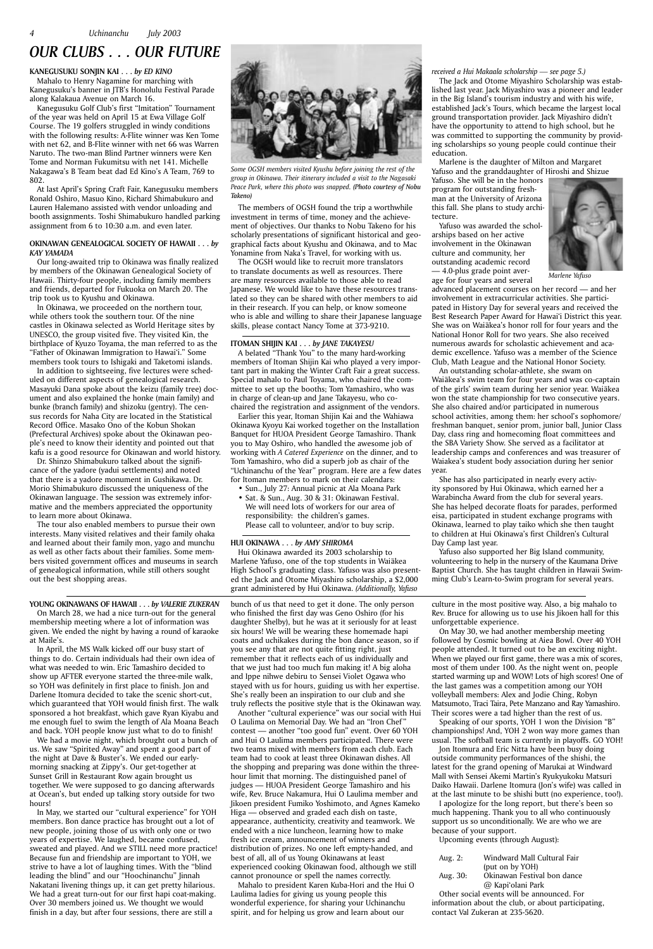## **KANEGUSUKU SONJIN KAI . . .** *by ED KINO*

Mahalo to Henry Nagamine for marching with Kanegusuku's banner in JTB's Honolulu Festival Parade along Kalakaua Avenue on March 16.

Kanegusuku Golf Club's first "Imitation" Tournament of the year was held on April 15 at Ewa Village Golf Course. The 19 golfers struggled in windy conditions with the following results: A-Flite winner was Ken Tome with net 62, and B-Flite winner with net 66 was Warren Naruto. The two-man Blind Partner winners were Ken Tome and Norman Fukumitsu with net 141. Michelle Nakagawa's B Team beat dad Ed Kino's A Team, 769 to 802.

At last April's Spring Craft Fair, Kanegusuku members Ronald Oshiro, Masuo Kino, Richard Shimabukuro and Lauren Halemano assisted with vendor unloading and booth assignments. Toshi Shimabukuro handled parking assignment from 6 to 10:30 a.m. and even later.

## **OKINAWAN GENEALOGICAL SOCIETY OF HAWAII . . .** *by KAY YAMADA*

Our long-awaited trip to Okinawa was finally realized by members of the Okinawan Genealogical Society of Hawaii. Thirty-four people, including family members and friends, departed for Fukuoka on March 20. The trip took us to Kyushu and Okinawa.

In Okinawa, we proceeded on the northern tour, while others took the southern tour. Of the nine castles in Okinawa selected as World Heritage sites by UNESCO, the group visited five. They visited Kin, the birthplace of Kyuzo Toyama, the man referred to as the "Father of Okinawan Immigration to Hawai'i." Some members took tours to Ishigaki and Taketomi islands.

In addition to sightseeing, five lectures were scheduled on different aspects of genealogical research. Masayuki Dana spoke about the keizu (family tree) document and also explained the honke (main family) and bunke (branch family) and shizoku (gentry). The census records for Naha City are located in the Statistical Record Office. Masako Ono of the Kobun Shokan (Prefectural Archives) spoke about the Okinawan people's need to know their identity and pointed out that kafu is a good resource for Okinawan and world history.

Dr. Shinzo Shimabukuro talked about the significance of the yadore (yadui settlements) and noted that there is a yadore monument in Gushikawa. Dr. Morio Shimabukuro discussed the uniqueness of the Okinawan language. The session was extremely informative and the members appreciated the opportunity to learn more about Okinawa.

The tour also enabled members to pursue their own interests. Many visited relatives and their family ohaka and learned about their family mon, yago and munchu as well as other facts about their families. Some members visited government offices and museums in search of genealogical information, while still others sought out the best shopping areas.

The members of OGSH found the trip a worthwhile investment in terms of time, money and the achievement of objectives. Our thanks to Nobu Takeno for his scholarly presentations of significant historical and geographical facts about Kyushu and Okinawa, and to Mac Yonamine from Naka's Travel, for working with us.

The OGSH would like to recruit more translators to translate documents as well as resources. There are many resources available to those able to read Japanese. We would like to have these resources translated so they can be shared with other members to aid in their research. If you can help, or know someone who is able and willing to share their Japanese language skills, please contact Nancy Tome at 373-9210.

## **ITOMAN SHIJIN KAI . . .** *by JANE TAKAYESU*

A belated "Thank You" to the many hard-working members of Itoman Shijin Kai who played a very important part in making the Winter Craft Fair a great success. Special mahalo to Paul Toyama, who chaired the committee to set up the booths; Tom Yamashiro, who was in charge of clean-up and Jane Takayesu, who cochaired the registration and assignment of the vendors.

Earlier this year, Itoman Shijin Kai and the Wahiawa Okinawa Kyoyu Kai worked together on the Installation Banquet for HUOA President George Tamashiro. Thank you to May Oshiro, who handled the awesome job of working with *A Catered Experience* on the dinner, and to Tom Yamashiro, who did a superb job as chair of the "Uchinanchu of the Year" program. Here are a few dates for Itoman members to mark on their calendars:

- Sun., July 27: Annual picnic at Ala Moana Park
- Sat. & Sun., Aug. 30 & 31: Okinawan Festival. We will need lots of workers for our area of responsibility: the children's games. Please call to volunteer, and/or to buy scrip.

### **HUI OKINAWA . . .** *by AMY SHIROMA*

Hui Okinawa awarded its 2003 scholarship to Marlene Yafuso, one of the top students in Waiākea High School's graduating class. Yafuso was also presented the Jack and Otome Miyashiro scholarship, a \$2,000 grant administered by Hui Okinawa. *(Additionally, Yafuso* 

## *OUR CLUBS . . . OUR FUTURE*



*Some OGSH members visited Kyushu before joining the rest of the group in Okinawa. Their itinerary included a visit to the Nagasaki Peace Park, where this photo was snapped. (Photo courtesy of Nobu Takeno)*

## **YOUNG OKINAWANS OF HAWAII . . .** *by VALERIE ZUKERAN*

On March 28, we had a nice turn-out for the general membership meeting where a lot of information was given. We ended the night by having a round of karaoke at Maile's.

In April, the MS Walk kicked off our busy start of things to do. Certain individuals had their own idea of what was needed to win. Eric Tamashiro decided to show up AFTER everyone started the three-mile walk, so YOH was definitely in first place to finish. Jon and Darlene Itomura decided to take the scenic short-cut, which guaranteed that YOH would finish first. The walk sponsored a hot breakfast, which gave Ryan Kiyabu and me enough fuel to swim the length of Ala Moana Beach and back. YOH people know just what to do to finish!

We had a movie night, which brought out a bunch of

us. We saw "Spirited Away" and spent a good part of the night at Dave & Buster's. We ended our earlymorning snacking at Zippy's. Our get-together at Sunset Grill in Restaurant Row again brought us together. We were supposed to go dancing afterwards at Ocean's, but ended up talking story outside for two hours!

In May, we started our "cultural experience" for YOH members. Bon dance practice has brought out a lot of new people, joining those of us with only one or two years of expertise. We laughed, became confused, sweated and played. And we STILL need more practice! Because fun and friendship are important to YOH, we strive to have a lot of laughing times. With the "blind leading the blind" and our "Hoochinanchu" Jinnah Nakatani livening things up, it can get pretty hilarious. We had a great turn-out for our first hapi coat-making. Over 30 members joined us. We thought we would finish in a day, but after four sessions, there are still a

#### *received a Hui Makaala scholarship — see page 5.)*

The Jack and Otome Miyashiro Scholarship was established last year. Jack Miyashiro was a pioneer and leader in the Big Island's tourism industry and with his wife, established Jack's Tours, which became the largest local ground transportation provider. Jack Miyashiro didn't have the opportunity to attend to high school, but he was committed to supporting the community by providing scholarships so young people could continue their education.

Marlene is the daughter of Milton and Margaret Yafuso and the granddaughter of Hiroshi and Shizue

Yafuso. She will be in the honors program for outstanding freshman at the University of Arizona this fall. She plans to study architecture.

Yafuso was awarded the scholarships based on her active involvement in the Okinawan culture and community, her outstanding academic record — 4.0-plus grade point average for four years and several

advanced placement courses on her record — and her involvement in extracurricular activities. She participated in History Day for several years and received the Best Research Paper Award for Hawai'i District this year. She was on Waiakea's honor roll for four years and the National Honor Roll for two years. She also received numerous awards for scholastic achievement and academic excellence. Yafuso was a member of the Science Club, Math League and the National Honor Society.

An outstanding scholar-athlete, she swam on Waiākea's swim team for four years and was co-captain of the girls' swim team during her senior year. Waiākea won the state championship for two consecutive years. She also chaired and/or participated in numerous school activities, among them: her school's sophomore/ freshman banquet, senior prom, junior ball, Junior Class Day, class ring and homecoming float committees and the SBA Variety Show. She served as a facilitator at leadership camps and conferences and was treasurer of Waiakea's student body association during her senior year.

She has also participated in nearly every activity sponsored by Hui Okinawa, which earned her a Warabincha Award from the club for several years. She has helped decorate floats for parades, performed eisa, participated in student exchange programs with Okinawa, learned to play taiko which she then taught to children at Hui Okinawa's first Children's Cultural Day Camp last year.

Yafuso also supported her Big Island community, volunteering to help in the nursery of the Kaumana Drive Baptist Church. She has taught children in Hawaii Swimming Club's Learn-to-Swim program for several years.



*Marlene Yafuso*

bunch of us that need to get it done. The only person who finished the first day was Geno Oshiro (for his daughter Shelby), but he was at it seriously for at least six hours! We will be wearing these homemade hapi coats and uchikakes during the bon dance season, so if you see any that are not quite fitting right, just remember that it reflects each of us individually and that we just had too much fun making it! A big aloha and Ippe nihwe debiru to Sensei Violet Ogawa who stayed with us for hours, guiding us with her expertise. She's really been an inspiration to our club and she truly reflects the positive style that is the Okinawan way.

Another "cultural experience" was our social with Hui O Laulima on Memorial Day. We had an "Iron Chef " contest — another "too good fun" event. Over 60 YOH and Hui O Laulima members participated. There were two teams mixed with members from each club. Each team had to cook at least three Okinawan dishes. All the shopping and preparing was done within the threehour limit that morning. The distinguished panel of judges — HUOA President George Tamashiro and his wife, Rev. Bruce Nakamura, Hui O Laulima member and Jikoen president Fumiko Yoshimoto, and Agnes Kameko Higa — observed and graded each dish on taste, appearance, authenticity, creativity and teamwork. We ended with a nice luncheon, learning how to make fresh ice cream, announcement of winners and distribution of prizes. No one left empty-handed, and best of all, all of us Young Okinawans at least experienced cooking Okinawan food, although we still cannot pronounce or spell the names correctly. Mahalo to president Karen Kuba-Hori and the Hui O Laulima ladies for giving us young people this wonderful experience, for sharing your Uchinanchu spirit, and for helping us grow and learn about our

culture in the most positive way. Also, a big mahalo to Rev. Bruce for allowing us to use his Jikoen hall for this unforgettable experience.

On May 30, we had another membership meeting followed by Cosmic bowling at Aiea Bowl. Over 40 YOH people attended. It turned out to be an exciting night. When we played our first game, there was a mix of scores, most of them under 100. As the night went on, people started warming up and WOW! Lots of high scores! One of the last games was a competition among our YOH volleyball members: Alex and Jodie Ching, Robyn Matsumoto, Traci Taira, Pete Manzano and Ray Yamashiro. Their scores were a tad higher than the rest of us.

Speaking of our sports, YOH 1 won the Division "B" championships! And, YOH 2 won way more games than usual. The softball team is currently in playoffs. GO YOH! Jon Itomura and Eric Nitta have been busy doing outside community performances of the shishi, the latest for the grand opening of Marukai at Windward Mall with Sensei Akemi Martin's Ryukyukoku Matsuri Daiko Hawaii. Darlene Itomura (Jon's wife) was called in at the last minute to be shishi butt (no experience, too!). I apologize for the long report, but there's been so much happening. Thank you to all who continuously support us so unconditionally. We are who we are because of your support.

Upcoming events (through August):

Aug. 2: Windward Mall Cultural Fair (put on by YOH) Aug. 30: Okinawan Festival bon dance @ Kapi'olani Park Other social events will be announced. For information about the club, or about participating,

contact Val Zukeran at 235-5620.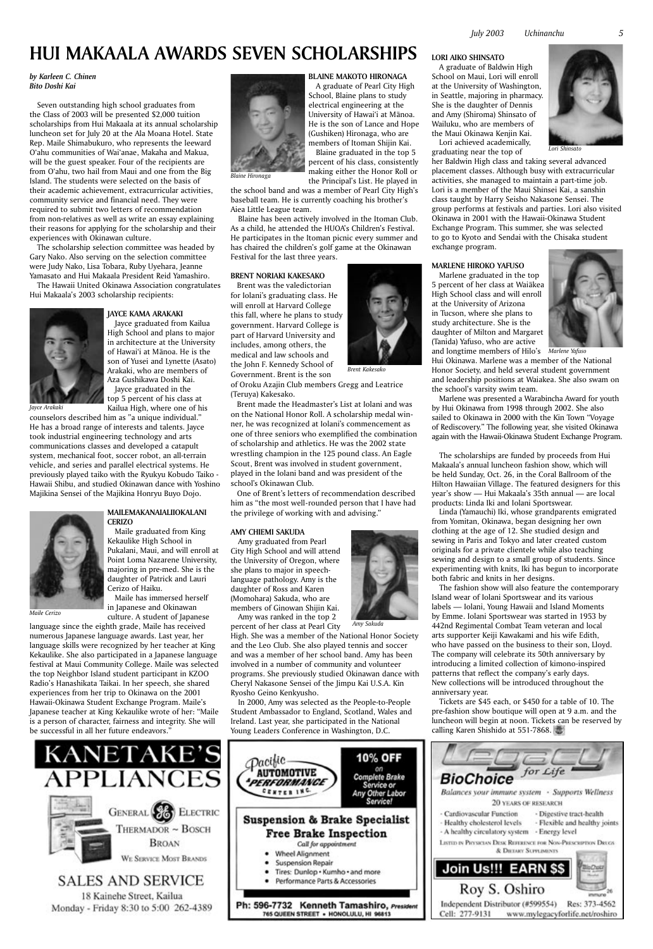

WE SERVICE MOST BRANDS

## SALES AND SERVICE

18 Kainehe Street, Kailua Monday - Friday 8:30 to 5:00 262-4389



10% OFF on Complete Brake Service or Any Other Labor Service! **Suspension & Brake Specialist Free Brake Inspection** Call for appointment **Wheel Alignment** ٠ **Suspension Repair** Tires: Dunlop . Kumho . and more

#### *by Karleen C. Chinen Bito Doshi Kai*

Seven outstanding high school graduates from the Class of 2003 will be presented \$2,000 tuition scholarships from Hui Makaala at its annual scholarship luncheon set for July 20 at the Ala Moana Hotel. State Rep. Maile Shimabukuro, who represents the leeward O'ahu communities of Wai'anae, Makaha and Makua, will be the guest speaker. Four of the recipients are from O'ahu, two hail from Maui and one from the Big Island. The students were selected on the basis of their academic achievement, extracurricular activities, community service and financial need. They were required to submit two letters of recommendation from non-relatives as well as write an essay explaining their reasons for applying for the scholarship and their experiences with Okinawan culture.

The scholarship selection committee was headed by Gary Nako. Also serving on the selection committee were Judy Nako, Lisa Tobara, Ruby Uyehara, Jeanne Yamasato and Hui Makaala President Reid Yamashiro.

The Hawaii United Okinawa Association congratulates Hui Makaala's 2003 scholarship recipients:



**JAYCE KAMA ARAKAKI**

Jayce graduated from Kailua High School and plans to major in architecture at the University of Hawai'i at Mānoa. He is the son of Yusei and Lynette (Asato) Arakaki, who are members of Aza Gushikawa Doshi Kai. Jayce graduated in the top 5 percent of his class at

Kailua High, where one of his counselors described him as "a unique individual." He has a broad range of interests and talents. Jayce took industrial engineering technology and arts communications classes and developed a catapult system, mechanical foot, soccer robot, an all-terrain vehicle, and series and parallel electrical systems. He previously played taiko with the Ryukyu Kobudo Taiko - Hawaii Shibu, and studied Okinawan dance with Yoshino Majikina Sensei of the Majikina Honryu Buyo Dojo.



#### **MAILEMAKANAIALIIOKALANI CERIZO**

Maile graduated from King Kekaulike High School in Pukalani, Maui, and will enroll at Point Loma Nazarene University, majoring in pre-med. She is the daughter of Patrick and Lauri Cerizo of Haiku.

Maile has immersed herself in Japanese and Okinawan culture. A student of Japanese

language since the eighth grade, Maile has received numerous Japanese language awards. Last year, her language skills were recognized by her teacher at King Kekaulike. She also participated in a Japanese language festival at Maui Community College. Maile was selected the top Neighbor Island student participant in KZOO Radio's Hanashikata Taikai. In her speech, she shared experiences from her trip to Okinawa on the 2001 Hawaii-Okinawa Student Exchange Program. Maile's Japanese teacher at King Kekaulike wrote of her: "Maile is a person of character, fairness and integrity. She will be successful in all her future endeavors."



**BLAINE MAKOTO HIRONAGA** A graduate of Pearl City High School, Blaine plans to study electrical engineering at the University of Hawai'i at Mānoa. He is the son of Lance and Hope (Gushiken) Hironaga, who are members of Itoman Shijin Kai. Blaine graduated in the top 5 percent of his class, consistently making either the Honor Roll or the Principal's List. He played in

the school band and was a member of Pearl City High's baseball team. He is currently coaching his brother's Aiea Little League team.

Blaine has been actively involved in the Itoman Club. As a child, he attended the HUOA's Children's Festival. He participates in the Itoman picnic every summer and has chaired the children's golf game at the Okinawan Festival for the last three years.

### **BRENT NORIAKI KAKESAKO**

 Brent was the valedictorian for Iolani's graduating class. He will enroll at Harvard College this fall, where he plans to study government. Harvard College is part of Harvard University and includes, among others, the medical and law schools and the John F. Kennedy School of Government. Brent is the son

of Oroku Azajin Club members Gregg and Leatrice (Teruya) Kakesako.

 Brent made the Headmaster's List at Iolani and was on the National Honor Roll. A scholarship medal winner, he was recognized at Iolani's commencement as one of three seniors who exemplified the combination of scholarship and athletics. He was the 2002 state wrestling champion in the 125 pound class. An Eagle Scout, Brent was involved in student government, played in the Iolani band and was president of the school's Okinawan Club.

 One of Brent's letters of recommendation described him as "the most well-rounded person that I have had the privilege of working with and advising."

## **AMY CHIEMI SAKUDA**

Amy graduated from Pearl City High School and will attend the University of Oregon, where she plans to major in speechlanguage pathology. Amy is the daughter of Ross and Karen (Momohara) Sakuda, who are members of Ginowan Shijin Kai.

Amy was ranked in the top 2 percent of her class at Pearl City

High. She was a member of the National Honor Society and the Leo Club. She also played tennis and soccer and was a member of her school band. Amy has been involved in a number of community and volunteer programs. She previously studied Okinawan dance with Cheryl Nakasone Sensei of the Jimpu Kai U.S.A. Kin Ryosho Geino Kenkyusho.

In 2000, Amy was selected as the People-to-People Student Ambassador to England, Scotland, Wales and Ireland. Last year, she participated in the National Young Leaders Conference in Washington, D.C.



## **LORI AIKO SHINSATO** A graduate of Baldwin High School on Maui, Lori will enroll at the University of Washington, in Seattle, majoring in pharmacy. She is the daughter of Dennis and Amy (Shiroma) Shinsato of Wailuku, who are members of the Maui Okinawa Kenjin Kai. Lori achieved academically,

graduating near the top of

her Baldwin High class and taking several advanced placement classes. Although busy with extracurricular activities, she managed to maintain a part-time job. Lori is a member of the Maui Shinsei Kai, a sanshin class taught by Harry Seisho Nakasone Sensei. The group performs at festivals and parties. Lori also visited Okinawa in 2001 with the Hawaii-Okinawa Student Exchange Program. This summer, she was selected to go to Kyoto and Sendai with the Chisaka student exchange program.

## **MARLENE HIROKO YAFUSO**

Hui Okinawa. Marlene was a member of the National Honor Society, and held several student government and leadership positions at Waiakea. She also swam on the school's varsity swim team.

Marlene was presented a Warabincha Award for youth by Hui Okinawa from 1998 through 2002. She also sailed to Okinawa in 2000 with the Kin Town "Voyage of Rediscovery." The following year, she visited Okinawa again with the Hawaii-Okinawa Student Exchange Program.

The scholarships are funded by proceeds from Hui Makaala's annual luncheon fashion show, which will be held Sunday, Oct. 26, in the Coral Ballroom of the Hilton Hawaiian Village. The featured designers for this year's show — Hui Makaala's 35th annual — are local products: Linda Iki and Iolani Sportswear.

Marlene graduated in the top 5 percent of her class at Waiākea High School class and will enroll at the University of Arizona in Tucson, where she plans to study architecture. She is the daughter of Milton and Margaret (Tanida) Yafuso, who are active and longtime members of Hilo's *Marlene Yafuso*



Linda (Yamauchi) Iki, whose grandparents emigrated from Yomitan, Okinawa, began designing her own clothing at the age of 12. She studied design and sewing in Paris and Tokyo and later created custom originals for a private clientele while also teaching sewing and design to a small group of students. Since experimenting with knits, Iki has begun to incorporate both fabric and knits in her designs.

The fashion show will also feature the contemporary Island wear of Iolani Sportswear and its various labels — Iolani, Young Hawaii and Island Moments by Emme. Iolani Sportswear was started in 1953 by 442nd Regimental Combat Team veteran and local arts supporter Keiji Kawakami and his wife Edith, who have passed on the business to their son, Lloyd. The company will celebrate its 50th anniversary by introducing a limited collection of kimono-inspired patterns that reflect the company's early days. New collections will be introduced throughout the anniversary year.

Tickets are \$45 each, or \$450 for a table of 10. The pre-fashion show boutique will open at 9 a.m. and the luncheon will begin at noon. Tickets can be reserved by calling Karen Shishido at 551-7868.

## **HUI MAKAALA AWARDS SEVEN SCHOLARSHIPS**

*Maile Cerizo*

*Jayce Arakaki*

*Blaine Hironaga*

*Brent Kakesako*

*Amy Sakuda*

٠ Performance Parts & Accessories

Ph: 596-7732 Kenneth Tamashiro, President 765 QUEEN STREET . HONOLULU, HI 96813



*Lori Shinsato*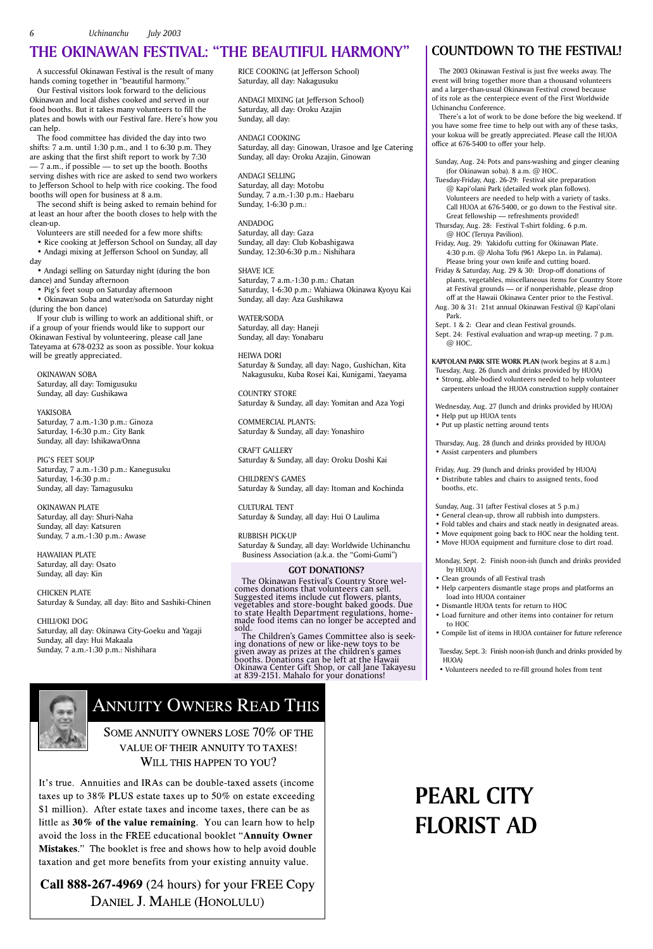The 2003 Okinawan Festival is just five weeks away. The event will bring together more than a thousand volunteers and a larger-than-usual Okinawan Festival crowd because of its role as the centerpiece event of the First Worldwide Uchinanchu Conference.

There's a lot of work to be done before the big weekend. If you have some free time to help out with any of these tasks, your kokua will be greatly appreciated. Please call the HUOA office at 676-5400 to offer your help.

Sunday, Aug. 24: Pots and pans-washing and ginger cleaning (for Okinawan soba). 8 a.m. @ HOC.

- Tuesday-Friday, Aug. 26-29: Festival site preparation @ Kapi'olani Park (detailed work plan follows). Volunteers are needed to help with a variety of tasks. Call HUOA at 676-5400, or go down to the Festival site. Great fellowship — refreshments provided!
- Thursday, Aug. 28: Festival T-shirt folding. 6 p.m. @ HOC (Teruya Pavilion).
- Friday, Aug. 29: Yakidofu cutting for Okinawan Plate. 4:30 p.m. @ Aloha Tofu (961 Akepo Ln. in Palama). Please bring your own knife and cutting board.

Friday & Saturday, Aug. 29 & 30: Drop-off donations of plants, vegetables, miscellaneous items for Country Store at Festival grounds — or if nonperishable, please drop off at the Hawaii Okinawa Center prior to the Festival.

- Aug. 30 & 31: 21st annual Okinawan Festival @ Kapi'olani Park.
- Sept. 1 & 2: Clear and clean Festival grounds.
- Sept. 24: Festival evaluation and wrap-up meeting. 7 p.m. @ HOC.

**KAPI'OLANI PARK SITE WORK PLAN** (work begins at 8 a.m.)

- Tuesday, Aug. 26 (lunch and drinks provided by HUOA)
- Strong, able-bodied volunteers needed to help volunteer carpenters unload the HUOA construction supply container

Wednesday, Aug. 27 (lunch and drinks provided by HUOA) • Help put up HUOA tents

• Put up plastic netting around tents

Thursday, Aug. 28 (lunch and drinks provided by HUOA)

• Assist carpenters and plumbers

Friday, Aug. 29 (lunch and drinks provided by HUOA) • Distribute tables and chairs to assigned tents, food booths, etc.

Sunday, Aug. 31 (after Festival closes at 5 p.m.)

- General clean-up, throw all rubbish into dumpsters.
- Fold tables and chairs and stack neatly in designated areas.
	- Move equipment going back to HOC near the holding tent.
- Move HUOA equipment and furniture close to dirt road.

Monday, Sept. 2: Finish noon-ish (lunch and drinks provided by HUOA)

- Clean grounds of all Festival trash
- Help carpenters dismantle stage props and platforms an load into HUOA container
- Dismantle HUOA tents for return to HOC
- Load furniture and other items into container for return to HOC
- Compile list of items in HUOA container for future reference

Tuesday, Sept. 3: Finish noon-ish (lunch and drinks provided by HUOA)

• Volunteers needed to re-fill ground holes from tent



## **ANNUITY OWNERS READ THIS**

SOME ANNUITY OWNERS LOSE  $70\%$  OF THE

## VALUE OF THEIR ANNUITY TO TAXES! WILL THIS HAPPEN TO YOU?

It's true. Annuities and IRAs can be double-taxed assets (income taxes up to 38% PLUS estate taxes up to 50% on estate exceeding \$1 million). After estate taxes and income taxes, there can be as little as  $30\%$  of the value remaining. You can learn how to help avoid the loss in the FREE educational booklet "Annuity Owner Mistakes." The booklet is free and shows how to help avoid double taxation and get more benefits from your existing annuity value.

Call 888-267-4969 (24 hours) for your FREE Copy DANIEL J. MAHLE (HONOLULU)

## **COUNTDOWN TO THE FESTIVAL!**

A successful Okinawan Festival is the result of many hands coming together in "beautiful harmony."

Our Festival visitors look forward to the delicious Okinawan and local dishes cooked and served in our food booths. But it takes many volunteers to fill the plates and bowls with our Festival fare. Here's how you can help.

The food committee has divided the day into two shifts: 7 a.m. until 1:30 p.m., and 1 to 6:30 p.m. They are asking that the first shift report to work by 7:30 — 7 a.m., if possible — to set up the booth. Booths serving dishes with rice are asked to send two workers to Jefferson School to help with rice cooking. The food booths will open for business at 8 a.m.

The second shift is being asked to remain behind for at least an hour after the booth closes to help with the clean-up.

Volunteers are still needed for a few more shifts:

• Rice cooking at Jefferson School on Sunday, all day

• Andagi mixing at Jefferson School on Sunday, all day

• Andagi selling on Saturday night (during the bon dance) and Sunday afternoon

• Pig's feet soup on Saturday afternoon

• Okinawan Soba and water/soda on Saturday night (during the bon dance)

If your club is willing to work an additional shift, or if a group of your friends would like to support our Okinawan Festival by volunteering, please call Jane Tateyama at 678-0232 as soon as possible. Your kokua will be greatly appreciated.

OKINAWAN SOBA Saturday, all day: Tomigusuku Sunday, all day: Gushikawa

YAKISOBA Saturday, 7 a.m.-1:30 p.m.: Ginoza Saturday, 1-6:30 p.m.: City Bank Sunday, all day: Ishikawa/Onna

PIG'S FEET SOUP Saturday, 7 a.m.-1:30 p.m.: Kanegusuku Saturday, 1-6:30 p.m.: Sunday, all day: Tamagusuku

OKINAWAN PLATE Saturday, all day: Shuri-Naha Sunday, all day: Katsuren Sunday, 7 a.m.-1:30 p.m.: Awase

HAWAIIAN PLATE Saturday, all day: Osato Sunday, all day: Kin

CHICKEN PLATE Saturday & Sunday, all day: Bito and Sashiki-Chinen

CHILI/OKI DOG Saturday, all day: Okinawa City-Goeku and Yagaji Sunday, all day: Hui Makaala Sunday, 7 a.m.-1:30 p.m.: Nishihara

## **GOT DONATIONS?**

The Okinawan Festival's Country Store wel- comes donations that volunteers can sell. Suggested items include cut flowers, plants, vegetables and store-bought baked goods. Due to state Health Department regulations, homemade food items can no longer be accepted and sold.

The Children's Games Committee also is seek- ing donations of new or like-new toys to be given away as prizes at the children's games booths. Donations can be left at the Hawaii Okinawa Center Gift Shop, or call Jane Takayesu at 839-2151. Mahalo for your donations!

RICE COOKING (at Jefferson School) Saturday, all day: Nakagusuku

ANDAGI MIXING (at Jefferson School) Saturday, all day: Oroku Azajin Sunday, all day:

ANDAGI COOKING Saturday, all day: Ginowan, Urasoe and Ige Catering Sunday, all day: Oroku Azajin, Ginowan

ANDAGI SELLING Saturday, all day: Motobu Sunday, 7 a.m.-1:30 p.m.: Haebaru Sunday, 1-6:30 p.m.:

ANDADOG Saturday, all day: Gaza Sunday, all day: Club Kobashigawa

Sunday, 12:30-6:30 p.m.: Nishihara

SHAVE ICE Saturday, 7 a.m.-1:30 p.m.: Chatan Saturday, 1-6:30 p.m.: Wahiawa Okinawa Kyoyu Kai Sunday, all day: Aza Gushikawa

WATER/SODA Saturday, all day: Haneji Sunday, all day: Yonabaru

HEIWA DORI Saturday & Sunday, all day: Nago, Gushichan, Kita Nakagusuku, Kuba Rosei Kai, Kunigami, Yaeyama

COUNTRY STORE Saturday & Sunday, all day: Yomitan and Aza Yogi

COMMERCIAL PLANTS: Saturday & Sunday, all day: Yonashiro

CRAFT GALLERY Saturday & Sunday, all day: Oroku Doshi Kai

CHILDREN'S GAMES Saturday & Sunday, all day: Itoman and Kochinda

CULTURAL TENT Saturday & Sunday, all day: Hui O Laulima

RUBBISH PICK-UP Saturday & Sunday, all day: Worldwide Uchinanchu Business Association (a.k.a. the "Gomi-Gumi")

## **THE OKINAWAN FESTIVAL: "THE BEAUTIFUL HARMONY"**

## **PEARL CITY FLORIST AD**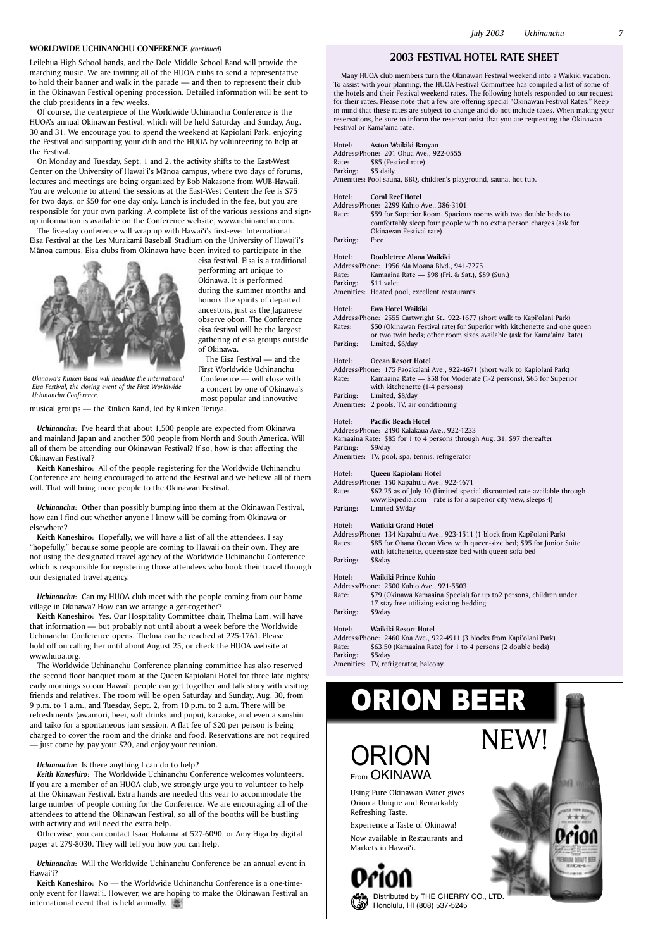



Honolulu, HI (808) 537-5245

Using Pure Okinawan Water gives Orion a Unique and Remarkably Refreshing Taste.

Experience a Taste of Okinawa!

Now available in Restaurants and Markets in Hawai'i.

# ORION BEER

## **2003 FESTIVAL HOTEL RATE SHEET**

Many HUOA club members turn the Okinawan Festival weekend into a Waikiki vacation. To assist with your planning, the HUOA Festival Committee has compiled a list of some of the hotels and their Festival weekend rates. The following hotels responded to our request for their rates. Please note that a few are offering special "Okinawan Festival Rates." Keep in mind that these rates are subject to change and do not include taxes. When making your reservations, be sure to inform the reservationist that you are requesting the Okinawan Festival or Kama'aina rate.

- Address/Phone: 175 Paoakalani Ave., 922-4671 (short walk to Kapiolani Park) Rate: Kamaaina Rate — \$58 for Moderate (1-2 persons), \$65 for Superior with kitchenette (1-4 persons)
- Parking: Limited, \$8/day<br>Amenities: 2 pools, TV, air 2 pools, TV, air conditioning

Address/Phone: 201 Ohua Ave., 922-0555

Rate: \$85 (Festival rate)<br>Parking: \$5 daily \$5 daily

Amenities: Pool sauna, BBQ, children's playground, sauna, hot tub.

- Hotel: **Coral Reef Hotel**
- Address/Phone: 2299 Kuhio Ave., 386-3101
- Rate: \$59 for Superior Room. Spacious rooms with two double beds to comfortably sleep four people with no extra person charges (ask for Okinawan Festival rate)

Address/Phone: 134 Kapahulu Ave., 923-1511 (1 block from Kapi'olani Park) Rates: \$85 for Ohana Ocean View with queen-size bed; \$95 for Junior Suite with kitchenette, queen-size bed with queen sofa bed Parking: \$8/day

Parking: Free

### Hotel: **Doubletree Alana Waikiki**

- Address/Phone: 1956 Ala Moana Blvd., 941-7275
- Rate: Kamaaina Rate \$98 (Fri. & Sat.), \$89 (Sun.)
- \$11 valet
- Amenities: Heated pool, excellent restaurants

Address/Phone: 2460 Koa Ave., 922-4911 (3 blocks from Kapi'olani Park) Rate: \$63.50 (Kamaaina Rate) for 1 to 4 persons (2 double beds) Parking: \$5/day

#### Hotel: **Ewa Hotel Waikiki**

Address/Phone: 2555 Cartwright St., 922-1677 (short walk to Kapi'olani Park) Rates: \$50 (Okinawan Festival rate) for Superior with kitchenette and one queen or two twin beds; other room sizes available (ask for Kama'aina Rate) Parking: Limited, \$6/day

Hotel: **Ocean Resort Hotel**

#### Hotel: **Pacific Beach Hotel**

Address/Phone: 2490 Kalakaua Ave., 922-1233

The five-day conference will wrap up with Hawai'i's first-ever International Eisa Festival at the Les Murakami Baseball Stadium on the University of Hawai'i's Mānoa campus. Eisa clubs from Okinawa have been invited to participate in the



- Kamaaina Rate: \$85 for 1 to 4 persons through Aug. 31, \$97 thereafter
- Parking: \$9/day
- Amenities: TV, pool, spa, tennis, refrigerator

Hotel: **Queen Kapiolani Hotel**

Address/Phone: 150 Kapahulu Ave., 922-4671

Rate: \$62.25 as of July 10 (Limited special discounted rate available through www.Expedia.com—rate is for a superior city view, sleeps 4) Parking: Limited \$9/day

#### Hotel: **Waikiki Grand Hotel**

## Hotel: **Waikiki Prince Kuhio**

Address/Phone: 2500 Kuhio Ave., 921-5503

Rate: \$79 (Okinawa Kamaaina Special) for up to2 persons, children under 17 stay free utilizing existing bedding

Parking: \$9/day

#### Hotel: **Waikiki Resort Hotel**

Amenities: TV, refrigerator, balcony

Leilehua High School bands, and the Dole Middle School Band will provide the marching music. We are inviting all of the HUOA clubs to send a representative to hold their banner and walk in the parade — and then to represent their club in the Okinawan Festival opening procession. Detailed information will be sent to the club presidents in a few weeks.

Of course, the centerpiece of the Worldwide Uchinanchu Conference is the HUOA's annual Okinawan Festival, which will be held Saturday and Sunday, Aug. 30 and 31. We encourage you to spend the weekend at Kapiolani Park, enjoying the Festival and supporting your club and the HUOA by volunteering to help at the Festival.

**Keith Kaneshiro**: No — the Worldwide Uchinanchu Conference is a one-timeonly event for Hawai'i. However, we are hoping to make the Okinawan Festival an international event that is held annually.

## RION NEW! From OKINAWA

On Monday and Tuesday, Sept. 1 and 2, the activity shifts to the East-West Center on the University of Hawai'i's Mānoa campus, where two days of forums, lectures and meetings are being organized by Bob Nakasone from WUB-Hawaii. You are welcome to attend the sessions at the East-West Center: the fee is \$75 for two days, or \$50 for one day only. Lunch is included in the fee, but you are responsible for your own parking. A complete list of the various sessions and signup information is available on the Conference website, www.uchinanchu.com.

> eisa festival. Eisa is a traditional performing art unique to Okinawa. It is performed during the summer months and honors the spirits of departed ancestors, just as the Japanese observe obon. The Conference eisa festival will be the largest gathering of eisa groups outside of Okinawa.

The Eisa Festival — and the First Worldwide Uchinanchu Conference — will close with a concert by one of Okinawa's most popular and innovative

musical groups — the Rinken Band, led by Rinken Teruya.

*Uchinanchu*: I've heard that about 1,500 people are expected from Okinawa and mainland Japan and another 500 people from North and South America. Will all of them be attending our Okinawan Festival? If so, how is that affecting the Okinawan Festival?

**Keith Kaneshiro**: All of the people registering for the Worldwide Uchinanchu Conference are being encouraged to attend the Festival and we believe all of them will. That will bring more people to the Okinawan Festival.

*Uchinanchu*: Other than possibly bumping into them at the Okinawan Festival, how can I find out whether anyone I know will be coming from Okinawa or elsewhere?

**Keith Kaneshiro**: Hopefully, we will have a list of all the attendees. I say "hopefully," because some people are coming to Hawaii on their own. They are not using the designated travel agency of the Worldwide Uchinanchu Conference which is responsible for registering those attendees who book their travel through our designated travel agency.

*Uchinanchu*: Can my HUOA club meet with the people coming from our home village in Okinawa? How can we arrange a get-together?

**Keith Kaneshiro**: Yes. Our Hospitality Committee chair, Thelma Lam, will have that information — but probably not until about a week before the Worldwide Uchinanchu Conference opens. Thelma can be reached at 225-1761. Please hold off on calling her until about August 25, or check the HUOA website at www.huoa.org.

The Worldwide Uchinanchu Conference planning committee has also reserved the second floor banquet room at the Queen Kapiolani Hotel for three late nights/ early mornings so our Hawai'i people can get together and talk story with visiting friends and relatives. The room will be open Saturday and Sunday, Aug. 30, from 9 p.m. to 1 a.m., and Tuesday, Sept. 2, from 10 p.m. to 2 a.m. There will be refreshments (awamori, beer, soft drinks and pupu), karaoke, and even a sanshin and taiko for a spontaneous jam session. A flat fee of \$20 per person is being charged to cover the room and the drinks and food. Reservations are not required

— just come by, pay your \$20, and enjoy your reunion.

*Uchinanchu*: Is there anything I can do to help? *Keith Kaneshiro*: The Worldwide Uchinanchu Conference welcomes volunteers. If you are a member of an HUOA club, we strongly urge you to volunteer to help at the Okinawan Festival. Extra hands are needed this year to accommodate the large number of people coming for the Conference. We are encouraging all of the attendees to attend the Okinawan Festival, so all of the booths will be bustling with activity and will need the extra help.

Otherwise, you can contact Isaac Hokama at 527-6090, or Amy Higa by digital pager at 279-8030. They will tell you how you can help.

*Uchinanchu*: Will the Worldwide Uchinanchu Conference be an annual event in Hawai'i?

*Okinawa's Rinken Band will headline the International Eisa Festival, the closing event of the First Worldwide* 

*Uchinanchu Conference.*

## **WORLDWIDE UCHINANCHU CONFERENCE** *(continued)*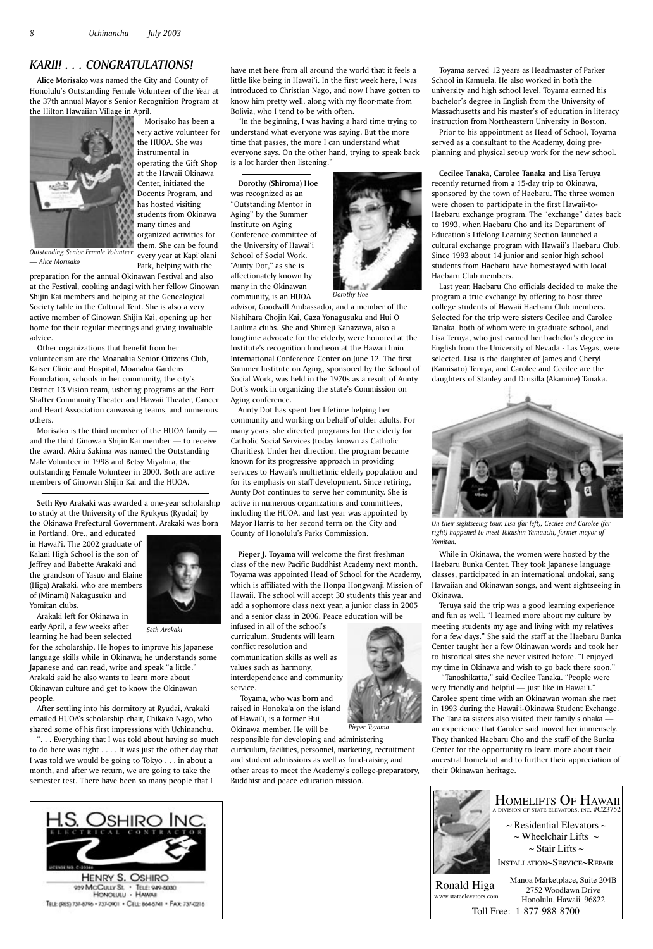**Alice Morisako** was named the City and County of Honolulu's Outstanding Female Volunteer of the Year at the 37th annual Mayor's Senior Recognition Program at the Hilton Hawaiian Village in April.



Morisako has been a very active volunteer for the HUOA. She was instrumental in operating the Gift Shop at the Hawaii Okinawa Center, initiated the Docents Program, and has hosted visiting students from Okinawa many times and organized activities for them. She can be found every year at Kapi'olani Park, helping with the

preparation for the annual Okinawan Festival and also at the Festival, cooking andagi with her fellow Ginowan Shijin Kai members and helping at the Genealogical Society table in the Cultural Tent. She is also a very active member of Ginowan Shijin Kai, opening up her home for their regular meetings and giving invaluable advice.

Other organizations that benefit from her volunteerism are the Moanalua Senior Citizens Club, Kaiser Clinic and Hospital, Moanalua Gardens Foundation, schools in her community, the city's District 13 Vision team, ushering programs at the Fort Shafter Community Theater and Hawaii Theater, Cancer and Heart Association canvassing teams, and numerous others.

Morisako is the third member of the HUOA family and the third Ginowan Shijin Kai member — to receive the award. Akira Sakima was named the Outstanding Male Volunteer in 1998 and Betsy Miyahira, the outstanding Female Volunteer in 2000. Both are active members of Ginowan Shijin Kai and the HUOA.

**Seth Ryo Arakaki** was awarded a one-year scholarship to study at the University of the Ryukyus (Ryudai) by the Okinawa Prefectural Government. Arakaki was born

in Portland, Ore., and educated in Hawai'i. The 2002 graduate of Kalani High School is the son of Jeffrey and Babette Arakaki and the grandson of Yasuo and Elaine (Higa) Arakaki. who are members of (Minami) Nakagusuku and Yomitan clubs.

Arakaki left for Okinawa in early April, a few weeks after learning he had been selected

for the scholarship. He hopes to improve his Japanese language skills while in Okinawa; he understands some Japanese and can read, write and speak "a little." Arakaki said he also wants to learn more about Okinawan culture and get to know the Okinawan people.

After settling into his dormitory at Ryudai, Arakaki emailed HUOA's scholarship chair, Chikako Nago, who shared some of his first impressions with Uchinanchu.

". . . Everything that I was told about having so much to do here was right . . . . It was just the other day that I was told we would be going to Tokyo . . . in about a month, and after we return, we are going to take the semester test. There have been so many people that I

*Outstanding Senior Female Volunteer — Alice Morisako*

have met here from all around the world that it feels a little like being in Hawai'i. In the first week here, I was introduced to Christian Nago, and now I have gotten to know him pretty well, along with my floor-mate from Bolivia, who I tend to be with often.

"In the beginning, I was having a hard time trying to understand what everyone was saying. But the more time that passes, the more I can understand what everyone says. On the other hand, trying to speak back is a lot harder then listening."

**Dorothy (Shiroma) Hoe** was recognized as an "Outstanding Mentor in Aging" by the Summer Institute on Aging Conference committee of the University of Hawai'i School of Social Work. "Aunty Dot," as she is affectionately known by many in the Okinawan community, is an HUOA

advisor, Goodwill Ambassador, and a member of the Nishihara Chojin Kai, Gaza Yonagusuku and Hui O Laulima clubs. She and Shimeji Kanazawa, also a longtime advocate for the elderly, were honored at the Institute's recognition luncheon at the Hawaii Imin International Conference Center on June 12. The first Summer Institute on Aging, sponsored by the School of Social Work, was held in the 1970s as a result of Aunty Dot's work in organizing the state's Commission on Aging conference.

Aunty Dot has spent her lifetime helping her community and working on behalf of older adults. For many years, she directed programs for the elderly for Catholic Social Services (today known as Catholic Charities). Under her direction, the program became known for its progressive approach in providing services to Hawaii's multiethnic elderly population and for its emphasis on staff development. Since retiring, Aunty Dot continues to serve her community. She is active in numerous organizations and committees, including the HUOA, and last year was appointed by Mayor Harris to her second term on the City and County of Honolulu's Parks Commission.

**Pieper J. Toyama** will welcome the first freshman class of the new Pacific Buddhist Academy next month. Toyama was appointed Head of School for the Academy, which is affiliated with the Honpa Hongwanji Mission of Hawaii. The school will accept 30 students this year and add a sophomore class next year, a junior class in 2005 and a senior class in 2006. Peace education will be

infused in all of the school's curriculum. Students will learn conflict resolution and communication skills as well as values such as harmony, interdependence and community service.

 Toyama, who was born and raised in Honoka'a on the island of Hawai'i, is a former Hui Okinawa member. He will be



responsible for developing and administering curriculum, facilities, personnel, marketing, recruitment and student admissions as well as fund-raising and other areas to meet the Academy's college-preparatory, Buddhist and peace education mission.

Toyama served 12 years as Headmaster of Parker School in Kamuela. He also worked in both the university and high school level. Toyama earned his bachelor's degree in English from the University of Massachusetts and his master's of education in literacy instruction from Northeastern University in Boston.

Prior to his appointment as Head of School, Toyama served as a consultant to the Academy, doing preplanning and physical set-up work for the new school.

**Cecilee Tanaka**, **Carolee Tanaka** and **Lisa Teruya** recently returned from a 15-day trip to Okinawa, sponsored by the town of Haebaru. The three women were chosen to participate in the first Hawaii-to-Haebaru exchange program. The "exchange" dates back to 1993, when Haebaru Cho and its Department of Education's Lifelong Learning Section launched a cultural exchange program with Hawaii's Haebaru Club. Since 1993 about 14 junior and senior high school students from Haebaru have homestayed with local Haebaru Club members.

Last year, Haebaru Cho officials decided to make the program a true exchange by offering to host three college students of Hawaii Haebaru Club members. Selected for the trip were sisters Cecilee and Carolee Tanaka, both of whom were in graduate school, and Lisa Teruya, who just earned her bachelor's degree in English from the University of Nevada - Las Vegas, were selected. Lisa is the daughter of James and Cheryl (Kamisato) Teruya, and Carolee and Cecilee are the daughters of Stanley and Drusilla (Akamine) Tanaka.

While in Okinawa, the women were hosted by the Haebaru Bunka Center. They took Japanese language classes, participated in an international undokai, sang Hawaiian and Okinawan songs, and went sightseeing in Okinawa.

Teruya said the trip was a good learning experience and fun as well. "I learned more about my culture by meeting students my age and living with my relatives for a few days." She said the staff at the Haebaru Bunka Center taught her a few Okinawan words and took her to historical sites she never visited before. "I enjoyed my time in Okinawa and wish to go back there soon."

 "Tanoshikatta," said Cecilee Tanaka. "People were very friendly and helpful — just like in Hawai'i." Carolee spent time with an Okinawan woman she met in 1993 during the Hawai'i-Okinawa Student Exchange. The Tanaka sisters also visited their family's ohaka an experience that Carolee said moved her immensely. They thanked Haebaru Cho and the staff of the Bunka Center for the opportunity to learn more about their ancestral homeland and to further their appreciation of their Okinawan heritage.





## *KARII! . . . CONGRATULATIONS!*

*Seth Arakaki*



*Dorothy Hoe*

*Pieper Toyama*



*On their sightseeing tour, Lisa (far left), Cecilee and Carolee (far right) happened to meet Tokushin Yamauchi, former mayor of Yomitan.*



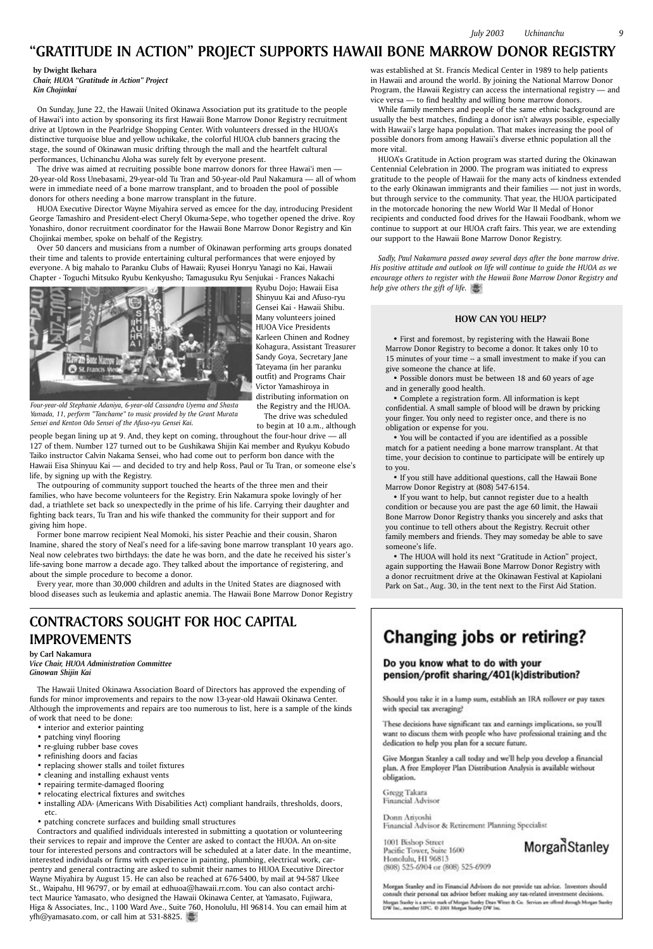**by Dwight Ikehara** *Chair, HUOA "Gratitude in Action" Project Kin Chojinkai*

On Sunday, June 22, the Hawaii United Okinawa Association put its gratitude to the people of Hawai'i into action by sponsoring its first Hawaii Bone Marrow Donor Registry recruitment drive at Uptown in the Pearlridge Shopping Center. With volunteers dressed in the HUOA's distinctive turquoise blue and yellow uchikake, the colorful HUOA club banners gracing the stage, the sound of Okinawan music drifting through the mall and the heartfelt cultural performances, Uchinanchu Aloha was surely felt by everyone present.

The drive was aimed at recruiting possible bone marrow donors for three Hawai'i men -20-year-old Ross Unebasami, 29-year-old Tu Tran and 50-year-old Paul Nakamura — all of whom were in immediate need of a bone marrow transplant, and to broaden the pool of possible donors for others needing a bone marrow transplant in the future.

HUOA Executive Director Wayne Miyahira served as emcee for the day, introducing President George Tamashiro and President-elect Cheryl Okuma-Sepe, who together opened the drive. Roy Yonashiro, donor recruitment coordinator for the Hawaii Bone Marrow Donor Registry and Kin Chojinkai member, spoke on behalf of the Registry.

Over 50 dancers and musicians from a number of Okinawan performing arts groups donated their time and talents to provide entertaining cultural performances that were enjoyed by everyone. A big mahalo to Paranku Clubs of Hawaii; Ryusei Honryu Yanagi no Kai, Hawaii Chapter - Toguchi Mitsuko Ryubu Kenkyusho; Tamagusuku Ryu Senjukai - Frances Nakachi



Ryubu Dojo; Hawaii Eisa

Shinyuu Kai and Afuso-ryu Gensei Kai - Hawaii Shibu. Many volunteers joined HUOA Vice Presidents Karleen Chinen and Rodney Kohagura, Assistant Treasurer Sandy Goya, Secretary Jane Tateyama (in her paranku outfit) and Programs Chair Victor Yamashiroya in distributing information on the Registry and the HUOA. The drive was scheduled

to begin at 10 a.m., although

people began lining up at 9. And, they kept on coming, throughout the four-hour drive — all 127 of them. Number 127 turned out to be Gushikawa Shijin Kai member and Ryukyu Kobudo Taiko instructor Calvin Nakama Sensei, who had come out to perform bon dance with the Hawaii Eisa Shinyuu Kai — and decided to try and help Ross, Paul or Tu Tran, or someone else's life, by signing up with the Registry.

The outpouring of community support touched the hearts of the three men and their families, who have become volunteers for the Registry. Erin Nakamura spoke lovingly of her dad, a triathlete set back so unexpectedly in the prime of his life. Carrying their daughter and fighting back tears, Tu Tran and his wife thanked the community for their support and for giving him hope.

Former bone marrow recipient Neal Momoki, his sister Peachie and their cousin, Sharon Inamine, shared the story of Neal's need for a life-saving bone marrow transplant 10 years ago. Neal now celebrates two birthdays: the date he was born, and the date he received his sister's life-saving bone marrow a decade ago. They talked about the importance of registering, and about the simple procedure to become a donor.

Every year, more than 30,000 children and adults in the United States are diagnosed with blood diseases such as leukemia and aplastic anemia. The Hawaii Bone Marrow Donor Registry

was established at St. Francis Medical Center in 1989 to help patients in Hawaii and around the world. By joining the National Marrow Donor Program, the Hawaii Registry can access the international registry — and vice versa — to find healthy and willing bone marrow donors.

While family members and people of the same ethnic background are usually the best matches, finding a donor isn't always possible, especially with Hawaii's large hapa population. That makes increasing the pool of possible donors from among Hawaii's diverse ethnic population all the more vital.

HUOA's Gratitude in Action program was started during the Okinawan Centennial Celebration in 2000. The program was initiated to express gratitude to the people of Hawaii for the many acts of kindness extended to the early Okinawan immigrants and their families — not just in words, but through service to the community. That year, the HUOA participated in the motorcade honoring the new World War II Medal of Honor recipients and conducted food drives for the Hawaii Foodbank, whom we continue to support at our HUOA craft fairs. This year, we are extending our support to the Hawaii Bone Marrow Donor Registry.

*Sadly, Paul Nakamura passed away several days after the bone marrow drive. His positive attitude and outlook on life will continue to guide the HUOA as we encourage others to register with the Hawaii Bone Marrow Donor Registry and help give others the gift of life.*

*Four-year-old Stephanie Adaniya, 6-year-old Cassandra Uyema and Shasta Yamada, 11, perform "Tanchame" to music provided by the Grant Murata Sensei and Kenton Odo Sensei of the Afuso-ryu Gensei Kai.*

## **"GRATITUDE IN ACTION" PROJECT SUPPORTS HAWAII BONE MARROW DONOR REGISTRY**

## **HOW CAN YOU HELP?**

• First and foremost, by registering with the Hawaii Bone Marrow Donor Registry to become a donor. It takes only 10 to 15 minutes of your time -- a small investment to make if you can give someone the chance at life.

• Possible donors must be between 18 and 60 years of age and in generally good health.

• Complete a registration form. All information is kept confidential. A small sample of blood will be drawn by pricking your finger. You only need to register once, and there is no obligation or expense for you.

• You will be contacted if you are identified as a possible match for a patient needing a bone marrow transplant. At that time, your decision to continue to participate will be entirely up to you.

• If you still have additional questions, call the Hawaii Bone Marrow Donor Registry at (808) 547-6154.

• If you want to help, but cannot register due to a health condition or because you are past the age 60 limit, the Hawaii Bone Marrow Donor Registry thanks you sincerely and asks that you continue to tell others about the Registry. Recruit other family members and friends. They may someday be able to save someone's life.

• The HUOA will hold its next "Gratitude in Action" project, again supporting the Hawaii Bone Marrow Donor Registry with a donor recruitment drive at the Okinawan Festival at Kapiolani Park on Sat., Aug. 30, in the tent next to the First Aid Station.

## Changing jobs or retiring?

## Do you know what to do with your pension/profit sharing/401(k)distribution?

Should you take it in a lump sum, establish an IRA rollover or pay taxes with special tax averaging?

These decisions have significant tax and earnings implications, so you'll want to discuss them with people who have professional training and the

## **CONTRACTORS SOUGHT FOR HOC CAPITAL IMPROVEMENTS**

**by Carl Nakamura** *Vice Chair, HUOA Administration Committee Ginowan Shijin Kai*

The Hawaii United Okinawa Association Board of Directors has approved the expending of funds for minor improvements and repairs to the now 13-year-old Hawaii Okinawa Center. Although the improvements and repairs are too numerous to list, here is a sample of the kinds of work that need to be done:

• interior and exterior painting

• patching vinyl flooring

• re-gluing rubber base coves

- refinishing doors and facias
- replacing shower stalls and toilet fixtures
- cleaning and installing exhaust vents
- repairing termite-damaged flooring
- relocating electrical fixtures and switches
- installing ADA- (Americans With Disabilities Act) compliant handrails, thresholds, doors, etc.

• patching concrete surfaces and building small structures

Contractors and qualified individuals interested in submitting a quotation or volunteering their services to repair and improve the Center are asked to contact the HUOA. An on-site tour for interested persons and contractors will be scheduled at a later date. In the meantime, interested individuals or firms with experience in painting, plumbing, electrical work, carpentry and general contracting are asked to submit their names to HUOA Executive Director Wayne Miyahira by August 15. He can also be reached at 676-5400, by mail at 94-587 Ukee St., Waipahu, HI 96797, or by email at edhuoa@hawaii.rr.com. You can also contact architect Maurice Yamasato, who designed the Hawaii Okinawa Center, at Yamasato, Fujiwara, Higa & Associates, Inc., 1100 Ward Ave., Suite 760, Honolulu, HI 96814. You can email him at yfh@yamasato.com, or call him at 531-8825.

dedication to help you plan for a secure future.

Give Morgan Stanley a call today and we'll help you develop a financial plan. A free Employer Plan Distribution Analysis is available without obligation.

Gregg Takara Financial Advisor

Donn Arivoshi Financial Advisor & Retirement Planning Specialist

1001 Bishop Street Pacific Tower, Suite 1600 Honolulu, HI 96813 (808) 525-6904 or (808) 525-6909 Morgan Stanley

Morgan Stanley and its Financial Advisors do not provide tax advice. Investors should consult their personal tax advisor before making any tax-related investment decisions. Morgan Stanley is a service mark of Morgan Stanley Dean Winer & Co. Services are offered shough Morgan Stanley DW Inc., member SIPC. @ 2001 Morgan Stanley DW Inc.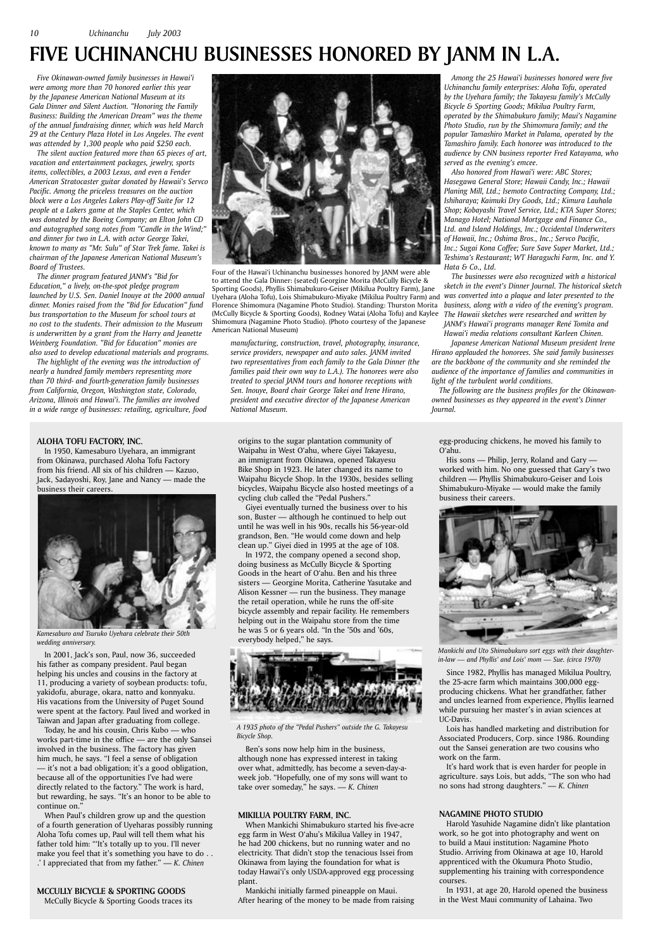## **ALOHA TOFU FACTORY, INC.**

In 1950, Kamesaburo Uyehara, an immigrant from Okinawa, purchased Aloha Tofu Factory from his friend. All six of his children — Kazuo, Jack, Sadayoshi, Roy, Jane and Nancy — made the business their careers.

In 2001, Jack's son, Paul, now 36, succeeded his father as company president. Paul began helping his uncles and cousins in the factory at 11, producing a variety of soybean products: tofu, yakidofu, aburage, okara, natto and konnyaku. His vacations from the University of Puget Sound were spent at the factory. Paul lived and worked in Taiwan and Japan after graduating from college.

Today, he and his cousin, Chris Kubo — who works part-time in the office — are the only Sansei involved in the business. The factory has given him much, he says. "I feel a sense of obligation — it's not a bad obligation; it's a good obligation, because all of the opportunities I've had were directly related to the factory." The work is hard, but rewarding, he says. "It's an honor to be able to continue on." When Paul's children grow up and the question of a fourth generation of Uyeharas possibly running Aloha Tofu comes up, Paul will tell them what his father told him: "'It's totally up to you. I'll never make you feel that it's something you have to do . . .' I appreciated that from my father." — *K. Chinen*

## **MCCULLY BICYCLE & SPORTING GOODS** McCully Bicycle & Sporting Goods traces its

origins to the sugar plantation community of Waipahu in West O'ahu, where Giyei Takayesu, an immigrant from Okinawa, opened Takayesu Bike Shop in 1923. He later changed its name to Waipahu Bicycle Shop. In the 1930s, besides selling bicycles, Waipahu Bicycle also hosted meetings of a cycling club called the "Pedal Pushers."

Giyei eventually turned the business over to his son, Buster — although he continued to help out until he was well in his 90s, recalls his 56-year-old grandson, Ben. "He would come down and help clean up." Giyei died in 1995 at the age of 108.

In 1972, the company opened a second shop, doing business as McCully Bicycle & Sporting Goods in the heart of O'ahu. Ben and his three sisters — Georgine Morita, Catherine Yasutake and Alison Kessner — run the business. They manage the retail operation, while he runs the off-site bicycle assembly and repair facility. He remembers helping out in the Waipahu store from the time he was 5 or 6 years old. "In the '50s and '60s, everybody helped," he says.

Ben's sons now help him in the business, although none has expressed interest in taking over what, admittedly, has become a seven-day-aweek job. "Hopefully, one of my sons will want to take over someday," he says. — *K. Chinen*

## **MIKILUA POULTRY FARM, INC.**

When Mankichi Shimabukuro started his five-acre egg farm in West O'ahu's Mikilua Valley in 1947, he had 200 chickens, but no running water and no electricity. That didn't stop the tenacious Issei from Okinawa from laying the foundation for what is today Hawai'i's only USDA-approved egg processing plant.

Mankichi initially farmed pineapple on Maui. After hearing of the money to be made from raising egg-producing chickens, he moved his family to O'ahu.

His sons — Philip, Jerry, Roland and Gary worked with him. No one guessed that Gary's two children — Phyllis Shimabukuro-Geiser and Lois Shimabukuro-Miyake — would make the family business their careers.

Since 1982, Phyllis has managed Mikilua Poultry, the 25-acre farm which maintains 300,000 eggproducing chickens. What her grandfather, father and uncles learned from experience, Phyllis learned while pursuing her master's in avian sciences at UC-Davis.

Lois has handled marketing and distribution for Associated Producers, Corp. since 1986. Rounding out the Sansei generation are two cousins who work on the farm.

It's hard work that is even harder for people in agriculture. says Lois, but adds, "The son who had no sons had strong daughters." — *K. Chinen*

## **NAGAMINE PHOTO STUDIO**

Harold Yasuhide Nagamine didn't like plantation work, so he got into photography and went on to build a Maui institution: Nagamine Photo Studio. Arriving from Okinawa at age 10, Harold apprenticed with the Okumura Photo Studio, supplementing his training with correspondence courses.

In 1931, at age 20, Harold opened the business in the West Maui community of Lahaina. Two

## **FIVE UCHINANCHU BUSINESSES HONORED BY JANM IN L.A.**



Uyehara (Aloha Tofu), Lois Shimabukuro-Miyake (Mikilua Poultry Farm) and *Was converted into a plaque and later presented to the* Four of the Hawai'i Uchinanchu businesses honored by JANM were able to attend the Gala Dinner: (seated) Georgine Morita (McCully Bicycle & Sporting Goods), Phyllis Shimabukuro-Geiser (Mikilua Poultry Farm), Jane Florence Shimomura (Nagamine Photo Studio). Standing: Thurston Morita (McCully Bicycle & Sporting Goods), Rodney Watai (Aloha Tofu) and Kaylee Shimomura (Nagamine Photo Studio). (Photo courtesy of the Japanese American National Museum)

*Five Okinawan-owned family businesses in Hawai'i were among more than 70 honored earlier this year by the Japanese American National Museum at its Gala Dinner and Silent Auction. "Honoring the Family Business: Building the American Dream" was the theme of the annual fundraising dinner, which was held March 29 at the Century Plaza Hotel in Los Angeles. The event was attended by 1,300 people who paid \$250 each.* 

*The silent auction featured more than 65 pieces of art, vacation and entertainment packages, jewelry, sports items, collectibles, a 2003 Lexus, and even a Fender American Stratocaster guitar donated by Hawaii's Servco Pacific. Among the priceless treasures on the auction block were a Los Angeles Lakers Play-off Suite for 12 people at a Lakers game at the Staples Center, which was donated by the Boeing Company; an Elton John CD and autographed song notes from "Candle in the Wind;" and dinner for two in L.A. with actor George Takei, known to many as "Mr. Sulu" of Star Trek fame. Takei is chairman of the Japanese American National Museum's Board of Trustees.*

*The dinner program featured JANM's "Bid for Education," a lively, on-the-spot pledge program launched by U.S. Sen. Daniel Inouye at the 2000 annual dinner. Monies raised from the "Bid for Education" fund bus transportation to the Museum for school tours at no cost to the students. Their admission to the Museum is underwritten by a grant from the Harry and Jeanette Weinberg Foundation. "Bid for Education" monies are also used to develop educational materials and programs.*

*The highlight of the evening was the introduction of nearly a hundred family members representing more than 70 third- and fourth-generation family businesses from California, Oregon, Washington state, Colorado, Arizona, Illinois and Hawai'i. The families are involved in a wide range of businesses: retailing, agriculture, food*  *manufacturing, construction, travel, photography, insurance, service providers, newspaper and auto sales. JANM invited two representatives from each family to the Gala Dinner (the families paid their own way to L.A.). The honorees were also treated to special JANM tours and honoree receptions with Sen. Inouye, Board chair George Takei and Irene Hirano, president and executive director of the Japanese American National Museum.*

*Among the 25 Hawai'i businesses honored were five Uchinanchu family enterprises: Aloha Tofu, operated by the Uyehara family; the Takayesu family's McCully Bicycle & Sporting Goods; Mikilua Poultry Farm, operated by the Shimabukuro family; Maui's Nagamine Photo Studio, run by the Shimomura family; and the popular Tamashiro Market in Palama, operated by the Tamashiro family. Each honoree was introduced to the audience by CNN business reporter Fred Katayama, who served as the evening's emcee.* 

*Also honored from Hawai'i were: ABC Stores; Hasegawa General Store; Hawaii Candy, Inc.; Hawaii Planing Mill, Ltd.; Isemoto Contracting Company, Ltd.; Ishiharaya; Kaimuki Dry Goods, Ltd.; Kimura Lauhala Shop; Kobayashi Travel Service, Ltd.; KTA Super Stores; Manago Hotel; National Mortgage and Finance Co., Ltd. and Island Holdings, Inc.; Occidental Underwriters of Hawaii, Inc.; Oshima Bros., Inc.; Servco Pacific, Inc.; Sugai Kona Coffee; Sure Save Super Market, Ltd.; Teshima's Restaurant; WT Haraguchi Farm, Inc. and Y. Hata & Co., Ltd.*

*The businesses were also recognized with a historical sketch in the event's Dinner Journal. The historical sketch business, along with a video of the evening's program. The Hawaii sketches were researched and written by JANM's Hawai'i programs manager René Tomita and Hawai'i media relations consultant Karleen Chinen.*

*Japanese American National Museum president Irene Hirano applauded the honorees. She said family businesses are the backbone of the community and she reminded the audience of the importance of families and communities in light of the turbulent world conditions.* 

*The following are the business profiles for the Okinawanowned businesses as they appeared in the event's Dinner Journal.*



*Kamesaburo and Tsuruko Uyehara celebrate their 50th wedding anniversary.*



*Mankichi and Uto Shimabukuro sort eggs with their daughterin-law — and Phyllis' and Lois' mom — Sue. (circa 1970)*



*A 1935 photo of the "Pedal Pushers" outside the G. Takayesu Bicycle Shop.*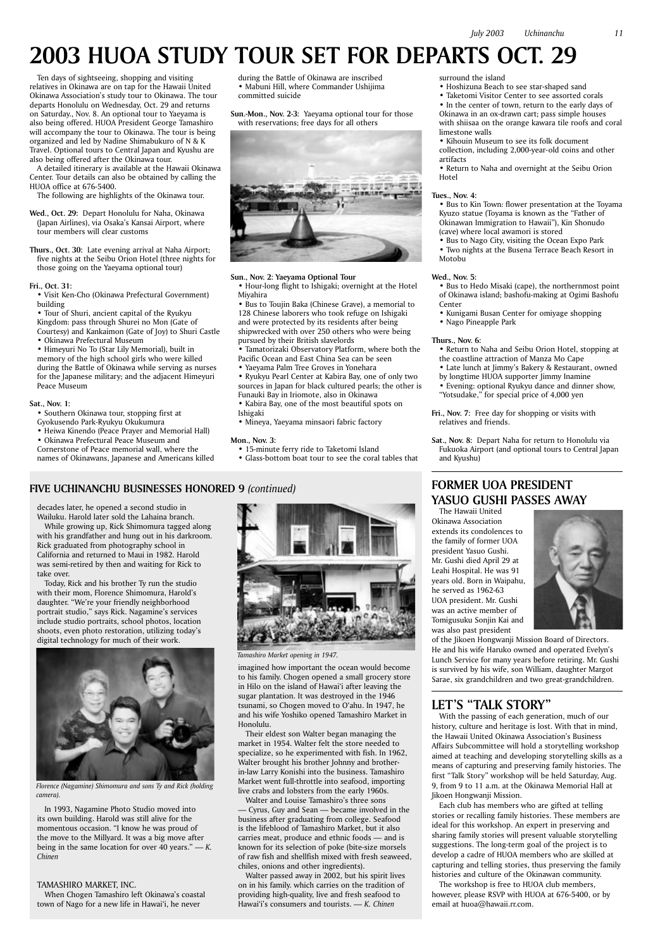Ten days of sightseeing, shopping and visiting relatives in Okinawa are on tap for the Hawaii United Okinawa Association's study tour to Okinawa. The tour departs Honolulu on Wednesday, Oct. 29 and returns on Saturday., Nov. 8. An optional tour to Yaeyama is also being offered. HUOA President George Tamashiro will accompany the tour to Okinawa. The tour is being organized and led by Nadine Shimabukuro of N & K Travel. Optional tours to Central Japan and Kyushu are also being offered after the Okinawa tour.

A detailed itinerary is available at the Hawaii Okinawa Center. Tour details can also be obtained by calling the HUOA office at 676-5400.

The following are highlights of the Okinawa tour.

- **Wed., Oct. 29:** Depart Honolulu for Naha, Okinawa (Japan Airlines), via Osaka's Kansai Airport, where tour members will clear customs
- **Thurs., Oct. 30:** Late evening arrival at Naha Airport; five nights at the Seibu Orion Hotel (three nights for those going on the Yaeyama optional tour)

**Fri., Oct. 31:**

• Visit Ken-Cho (Okinawa Prefectural Government) building

• Tour of Shuri, ancient capital of the Ryukyu Kingdom: pass through Shurei no Mon (Gate of Courtesy) and Kankaimon (Gate of Joy) to Shuri Castle

• Okinawa Prefectural Museum

• Himeyuri No To (Star Lily Memorial), built in memory of the high school girls who were killed during the Battle of Okinawa while serving as nurses for the Japanese military; and the adjacent Himeyuri Peace Museum

### **Sat., Nov. 1:**

• Southern Okinawa tour, stopping first at

- Gyokusendo Park-Ryukyu Okukumura
- Heiwa Kinendo (Peace Prayer and Memorial Hall)
- Okinawa Prefectural Peace Museum and

Cornerstone of Peace memorial wall, where the names of Okinawans, Japanese and Americans killed during the Battle of Okinawa are inscribed • Mabuni Hill, where Commander Ushijima committed suicide

**Sun.-Mon., Nov. 2-3:** Yaeyama optional tour for those with reservations; free days for all others



## **Sun., Nov. 2: Yaeyama Optional Tour**

• Hour-long flight to Ishigaki; overnight at the Hotel Miyahira

• Bus to Toujin Baka (Chinese Grave), a memorial to 128 Chinese laborers who took refuge on Ishigaki and were protected by its residents after being shipwrecked with over 250 others who were being pursued by their British slavelords

• Tamatorizaki Observatory Platform, where both the Pacific Ocean and East China Sea can be seen

• Yaeyama Palm Tree Groves in Yonehara

• Ryukyu Pearl Center at Kabira Bay, one of only two sources in Japan for black cultured pearls; the other is Funauki Bay in Iriomote, also in Okinawa

- Kabira Bay, one of the most beautiful spots on
- Ishigaki
- Mineya, Yaeyama minsaori fabric factory

**Mon., Nov. 3:**

- 15-minute ferry ride to Taketomi Island
- Glass-bottom boat tour to see the coral tables that

surround the island

• Hoshizuna Beach to see star-shaped sand

• Taketomi Visitor Center to see assorted corals • In the center of town, return to the early days of Okinawa in an ox-drawn cart; pass simple houses with shiisaa on the orange kawara tile roofs and coral limestone walls

• Kihouin Museum to see its folk document collection, including 2,000-year-old coins and other artifacts

• Return to Naha and overnight at the Seibu Orion Hotel

### **Tues., Nov. 4:**

• Bus to Kin Town: flower presentation at the Toyama Kyuzo statue (Toyama is known as the "Father of Okinawan Immigration to Hawaii"), Kin Shonudo (cave) where local awamori is stored

• Bus to Nago City, visiting the Ocean Expo Park • Two nights at the Busena Terrace Beach Resort in Motobu

### **Wed., Nov. 5:**

- Bus to Hedo Misaki (cape), the northernmost point of Okinawa island; bashofu-making at Ogimi Bashofu Center
- Kunigami Busan Center for omiyage shopping
- Nago Pineapple Park

## **Thurs., Nov. 6:**

- Return to Naha and Seibu Orion Hotel, stopping at the coastline attraction of Manza Mo Cape
- Late lunch at Jimmy's Bakery & Restaurant, owned by longtime HUOA supporter Jimmy Inamine • Evening: optional Ryukyu dance and dinner show, "Yotsudake," for special price of 4,000 yen
- **Fri., Nov. 7:** Free day for shopping or visits with relatives and friends.
- **Sat., Nov. 8:** Depart Naha for return to Honolulu via Fukuoka Airport (and optional tours to Central Japan and Kyushu)

## FIVE UCHINANCHU BUSINESSES HONORED 9 *(continued)* **FORMER UOA PRESIDENT**

## **2003 HUOA STUDY TOUR SET FOR DEPARTS OCT. 29**

decades later, he opened a second studio in Wailuku. Harold later sold the Lahaina branch.

While growing up, Rick Shimomura tagged along with his grandfather and hung out in his darkroom. Rick graduated from photography school in California and returned to Maui in 1982. Harold was semi-retired by then and waiting for Rick to take over.

Today, Rick and his brother Ty run the studio with their mom, Florence Shimomura, Harold's daughter. "We're your friendly neighborhood portrait studio," says Rick. Nagamine's services include studio portraits, school photos, location shoots, even photo restoration, utilizing today's digital technology for much of their work.



In 1993, Nagamine Photo Studio moved into its own building. Harold was still alive for the momentous occasion. "I know he was proud of the move to the Millyard. It was a big move after being in the same location for over 40 years." — *K. Chinen*

## TAMASHIRO MARKET, INC.

When Chogen Tamashiro left Okinawa's coastal town of Nago for a new life in Hawai'i, he never

*Florence (Nagamine) Shimomura and sons Ty and Rick (holding camera).*

imagined how important the ocean would become to his family. Chogen opened a small grocery store in Hilo on the island of Hawai'i after leaving the sugar plantation. It was destroyed in the 1946 tsunami, so Chogen moved to O'ahu. In 1947, he and his wife Yoshiko opened Tamashiro Market in Honolulu.

Their eldest son Walter began managing the

market in 1954. Walter felt the store needed to specialize, so he experimented with fish. In 1962, Walter brought his brother Johnny and brotherin-law Larry Konishi into the business. Tamashiro Market went full-throttle into seafood, importing live crabs and lobsters from the early 1960s. Walter and Louise Tamashiro's three sons

— Cyrus, Guy and Sean — became involved in the business after graduating from college. Seafood is the lifeblood of Tamashiro Market, but it also carries meat, produce and ethnic foods — and is known for its selection of poke (bite-size morsels of raw fish and shellfish mixed with fresh seaweed, chiles, onions and other ingredients).

Walter passed away in 2002, but his spirit lives on in his family. which carries on the tradition of providing high-quality, live and fresh seafood to Hawai'i's consumers and tourists. — *K. Chinen*



*Tamashiro Market opening in 1947.*

## **YASUO GUSHI PASSES AWAY**

The Hawaii United Okinawa Association extends its condolences to the family of former UOA president Yasuo Gushi. Mr. Gushi died April 29 at Leahi Hospital. He was 91 years old. Born in Waipahu, he served as 1962-63 UOA president. Mr. Gushi was an active member of Tomigusuku Sonjin Kai and was also past president



of the Jikoen Hongwanji Mission Board of Directors. He and his wife Haruko owned and operated Evelyn's Lunch Service for many years before retiring. Mr. Gushi is survived by his wife, son William, daughter Margot Sarae, six grandchildren and two great-grandchildren.

## **LET'S "TALK STORY"**

With the passing of each generation, much of our history, culture and heritage is lost. With that in mind, the Hawaii United Okinawa Association's Business Affairs Subcommittee will hold a storytelling workshop aimed at teaching and developing storytelling skills as a means of capturing and preserving family histories. The first "Talk Story" workshop will be held Saturday, Aug. 9, from 9 to 11 a.m. at the Okinawa Memorial Hall at Jikoen Hongwanji Mission. Each club has members who are gifted at telling stories or recalling family histories. These members are ideal for this workshop. An expert in preserving and sharing family stories will present valuable storytelling suggestions. The long-term goal of the project is to develop a cadre of HUOA members who are skilled at capturing and telling stories, thus preserving the family histories and culture of the Okinawan community. The workshop is free to HUOA club members, however, please RSVP with HUOA at 676-5400, or by email at huoa@hawaii.rr.com.